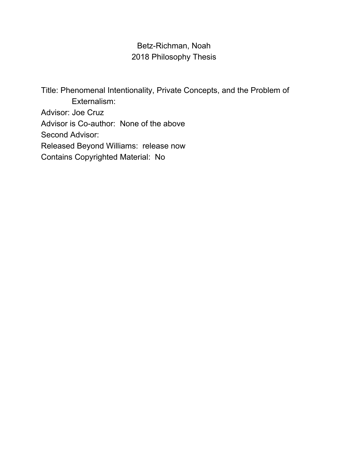# Betz-Richman, Noah 2018 Philosophy Thesis

Title: Phenomenal Intentionality, Private Concepts, and the Problem of Externalism: Advisor: Joe Cruz Advisor is Co-author: None of the above Second Advisor: Released Beyond Williams: release now Contains Copyrighted Material: No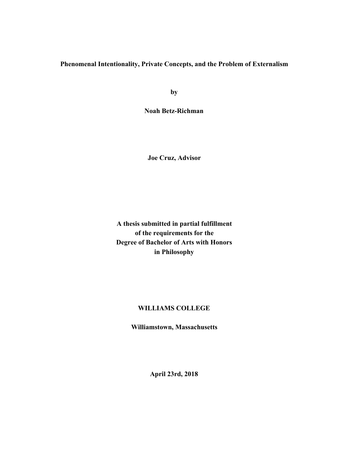# **Phenomenal Intentionality, Private Concepts, and the Problem of Externalism**

**by**

**Noah Betz-Richman**

**Joe Cruz, Advisor**

**A thesis submitted in partial fulfillment of the requirements for the Degree of Bachelor of Arts with Honors in Philosophy**

# **WILLIAMS COLLEGE**

**Williamstown, Massachusetts**

**April 23rd, 2018**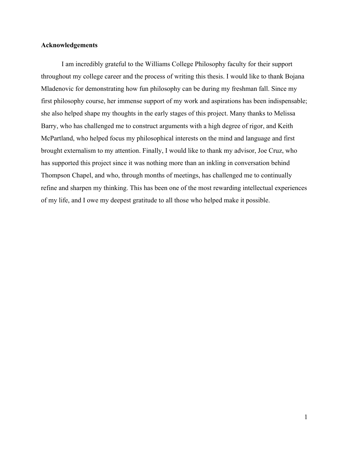### **Acknowledgements**

I am incredibly grateful to the Williams College Philosophy faculty for their support throughout my college career and the process of writing this thesis. I would like to thank Bojana Mladenovic for demonstrating how fun philosophy can be during my freshman fall. Since my first philosophy course, her immense support of my work and aspirations has been indispensable; she also helped shape my thoughts in the early stages of this project. Many thanks to Melissa Barry, who has challenged me to construct arguments with a high degree of rigor, and Keith McPartland, who helped focus my philosophical interests on the mind and language and first brought externalism to my attention. Finally, I would like to thank my advisor, Joe Cruz, who has supported this project since it was nothing more than an inkling in conversation behind Thompson Chapel, and who, through months of meetings, has challenged me to continually refine and sharpen my thinking. This has been one of the most rewarding intellectual experiences of my life, and I owe my deepest gratitude to all those who helped make it possible.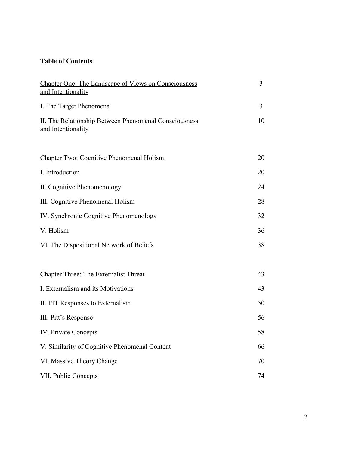# **Table of Contents**

| <b>Chapter One: The Landscape of Views on Consciousness</b><br>and Intentionality | 3  |
|-----------------------------------------------------------------------------------|----|
| I. The Target Phenomena                                                           | 3  |
| II. The Relationship Between Phenomenal Consciousness<br>and Intentionality       | 10 |
| <b>Chapter Two: Cognitive Phenomenal Holism</b>                                   | 20 |
| I. Introduction                                                                   | 20 |
| II. Cognitive Phenomenology                                                       | 24 |
| III. Cognitive Phenomenal Holism                                                  | 28 |
| IV. Synchronic Cognitive Phenomenology                                            | 32 |
| V. Holism                                                                         | 36 |
| VI. The Dispositional Network of Beliefs                                          | 38 |
| <b>Chapter Three: The Externalist Threat</b>                                      | 43 |
| I. Externalism and its Motivations                                                | 43 |
| II. PIT Responses to Externalism                                                  | 50 |
| III. Pitt's Response                                                              | 56 |
| <b>IV.</b> Private Concepts                                                       | 58 |
| V. Similarity of Cognitive Phenomenal Content                                     | 66 |
| VI. Massive Theory Change                                                         | 70 |
| VII. Public Concepts                                                              | 74 |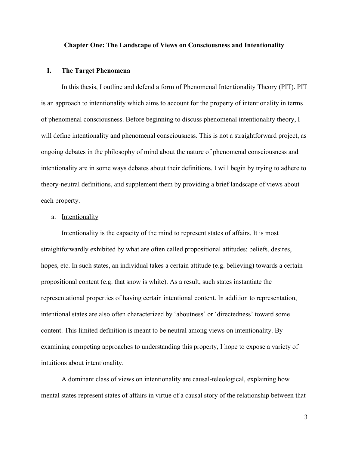#### **Chapter One: The Landscape of Views on Consciousness and Intentionality**

#### **I. The Target Phenomena**

In this thesis, I outline and defend a form of Phenomenal Intentionality Theory (PIT). PIT is an approach to intentionality which aims to account for the property of intentionality in terms of phenomenal consciousness. Before beginning to discuss phenomenal intentionality theory, I will define intentionality and phenomenal consciousness. This is not a straightforward project, as ongoing debates in the philosophy of mind about the nature of phenomenal consciousness and intentionality are in some ways debates about their definitions. I will begin by trying to adhere to theory-neutral definitions, and supplement them by providing a brief landscape of views about each property.

## a. Intentionality

Intentionality is the capacity of the mind to represent states of affairs. It is most straightforwardly exhibited by what are often called propositional attitudes: beliefs, desires, hopes, etc. In such states, an individual takes a certain attitude (e.g. believing) towards a certain propositional content (e.g. that snow is white). As a result, such states instantiate the representational properties of having certain intentional content. In addition to representation, intentional states are also often characterized by 'aboutness' or 'directedness' toward some content. This limited definition is meant to be neutral among views on intentionality. By examining competing approaches to understanding this property, I hope to expose a variety of intuitions about intentionality.

A dominant class of views on intentionality are causal-teleological, explaining how mental states represent states of affairs in virtue of a causal story of the relationship between that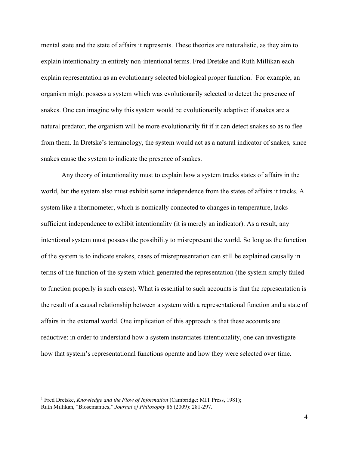mental state and the state of affairs it represents. These theories are naturalistic, as they aim to explain intentionality in entirely non-intentional terms. Fred Dretske and Ruth Millikan each explain representation as an evolutionary selected biological proper function.<sup>1</sup> For example, an organism might possess a system which was evolutionarily selected to detect the presence of snakes. One can imagine why this system would be evolutionarily adaptive: if snakes are a natural predator, the organism will be more evolutionarily fit if it can detect snakes so as to flee from them. In Dretske's terminology, the system would act as a natural indicator of snakes, since snakes cause the system to indicate the presence of snakes.

Any theory of intentionality must to explain how a system tracks states of affairs in the world, but the system also must exhibit some independence from the states of affairs it tracks. A system like a thermometer, which is nomically connected to changes in temperature, lacks sufficient independence to exhibit intentionality (it is merely an indicator). As a result, any intentional system must possess the possibility to misrepresent the world. So long as the function of the system is to indicate snakes, cases of misrepresentation can still be explained causally in terms of the function of the system which generated the representation (the system simply failed to function properly is such cases). What is essential to such accounts is that the representation is the result of a causal relationship between a system with a representational function and a state of affairs in the external world. One implication of this approach is that these accounts are reductive: in order to understand how a system instantiates intentionality, one can investigate how that system's representational functions operate and how they were selected over time.

<sup>1</sup> Fred Dretske, *Knowledge and the Flow of Information* (Cambridge: MIT Press, 1981); Ruth Millikan, "Biosemantics," *Journal of Philosophy* 86 (2009): 281-297.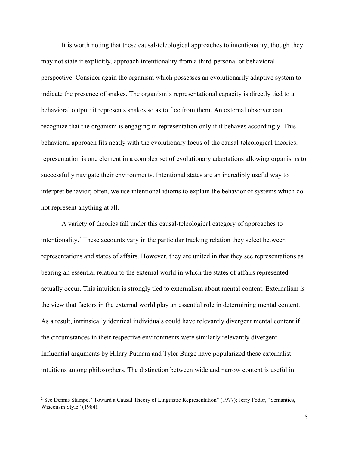It is worth noting that these causal-teleological approaches to intentionality, though they may not state it explicitly, approach intentionality from a third-personal or behavioral perspective. Consider again the organism which possesses an evolutionarily adaptive system to indicate the presence of snakes. The organism's representational capacity is directly tied to a behavioral output: it represents snakes so as to flee from them. An external observer can recognize that the organism is engaging in representation only if it behaves accordingly. This behavioral approach fits neatly with the evolutionary focus of the causal-teleological theories: representation is one element in a complex set of evolutionary adaptations allowing organisms to successfully navigate their environments. Intentional states are an incredibly useful way to interpret behavior; often, we use intentional idioms to explain the behavior of systems which do not represent anything at all.

A variety of theories fall under this causal-teleological category of approaches to intentionality. $\alpha$  These accounts vary in the particular tracking relation they select between representations and states of affairs. However, they are united in that they see representations as bearing an essential relation to the external world in which the states of affairs represented actually occur. This intuition is strongly tied to externalism about mental content. Externalism is the view that factors in the external world play an essential role in determining mental content. As a result, intrinsically identical individuals could have relevantly divergent mental content if the circumstances in their respective environments were similarly relevantly divergent. Influential arguments by Hilary Putnam and Tyler Burge have popularized these externalist intuitions among philosophers. The distinction between wide and narrow content is useful in

<sup>2</sup> See Dennis Stampe, "Toward a Causal Theory of Linguistic Representation" (1977); Jerry Fodor, "Semantics, Wisconsin Style" (1984).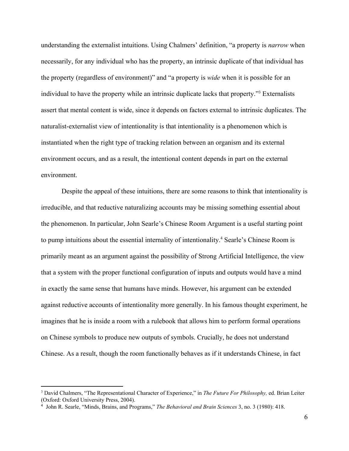understanding the externalist intuitions. Using Chalmers' definition, "a property is *narrow* when necessarily, for any individual who has the property, an intrinsic duplicate of that individual has the property (regardless of environment)" and "a property is *wide* when it is possible for an individual to have the property while an intrinsic duplicate lacks that property."<sup>3</sup> Externalists assert that mental content is wide, since it depends on factors external to intrinsic duplicates. The naturalist-externalist view of intentionality is that intentionality is a phenomenon which is instantiated when the right type of tracking relation between an organism and its external environment occurs, and as a result, the intentional content depends in part on the external environment.

Despite the appeal of these intuitions, there are some reasons to think that intentionality is irreducible, and that reductive naturalizing accounts may be missing something essential about the phenomenon. In particular, John Searle's Chinese Room Argument is a useful starting point to pump intuitions about the essential internality of intentionality.<sup>4</sup> Searle's Chinese Room is primarily meant as an argument against the possibility of Strong Artificial Intelligence, the view that a system with the proper functional configuration of inputs and outputs would have a mind in exactly the same sense that humans have minds. However, his argument can be extended against reductive accounts of intentionality more generally. In his famous thought experiment, he imagines that he is inside a room with a rulebook that allows him to perform formal operations on Chinese symbols to produce new outputs of symbols. Crucially, he does not understand Chinese. As a result, though the room functionally behaves as if it understands Chinese, in fact

<sup>3</sup> David Chalmers, "The Representational Character of Experience," in *The Future For Philosophy,* ed. Brian Leiter (Oxford: Oxford University Press, 2004).

<sup>4</sup> John R. Searle, "Minds, Brains, and Programs," *The Behavioral and Brain Sciences* 3, no. 3 (1980): 418.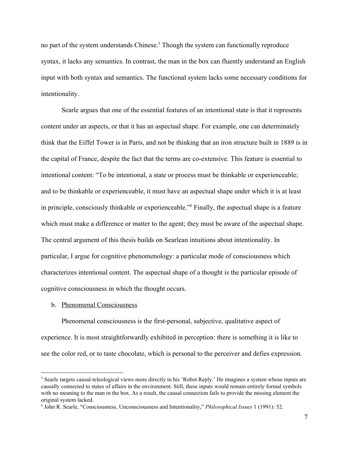no part of the system understands Chinese.<sup>5</sup> Though the system can functionally reproduce syntax, it lacks any semantics. In contrast, the man in the box can fluently understand an English input with both syntax and semantics. The functional system lacks some necessary conditions for intentionality.

Searle argues that one of the essential features of an intentional state is that it represents content under an aspects, or that it has an aspectual shape. For example, one can determinately think that the Eiffel Tower is in Paris, and not be thinking that an iron structure built in 1889 is in the capital of France, despite the fact that the terms are co-extensive. This feature is essential to intentional content: "To be intentional, a state or process must be thinkable or experienceable; and to be thinkable or experienceable, it must have an aspectual shape under which it is at least in principle, consciously thinkable or experienceable."<sup>6</sup> Finally, the aspectual shape is a feature which must make a difference or matter to the agent; they must be aware of the aspectual shape. The central argument of this thesis builds on Searlean intuitions about intentionality. In particular, I argue for cognitive phenomenology: a particular mode of consciousness which characterizes intentional content. The aspectual shape of a thought is the particular episode of cognitive consciousness in which the thought occurs.

#### b. Phenomenal Consciousness

Phenomenal consciousness is the first-personal, subjective, qualitative aspect of experience. It is most straightforwardly exhibited in perception: there is something it is like to see the color red, or to taste chocolate, which is personal to the perceiver and defies expression.

<sup>&</sup>lt;sup>5</sup> Searle targets causal-teleological views more directly in his 'Robot Reply.' He imagines a system whose inputs are causally connected to states of affairs in the environment. Still, these inputs would remain entirely formal symbols with no meaning to the man in the box. As a result, the causal connection fails to provide the missing element the original system lacked.

<sup>6</sup> John R. Searle, "Consciousness, Unconsciousness and Intentionality," *Philosophical Issues* 1 (1991): 52.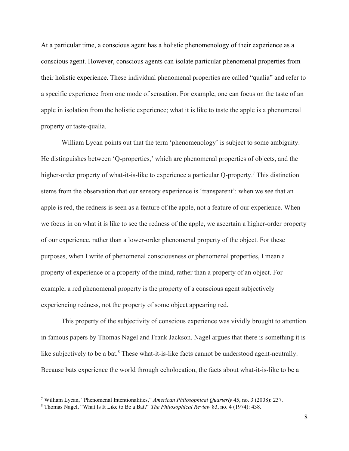At a particular time, a conscious agent has a holistic phenomenology of their experience as a conscious agent. However, conscious agents can isolate particular phenomenal properties from their holistic experience. These individual phenomenal properties are called "qualia" and refer to a specific experience from one mode of sensation. For example, one can focus on the taste of an apple in isolation from the holistic experience; what it is like to taste the apple is a phenomenal property or taste-qualia.

William Lycan points out that the term 'phenomenology' is subject to some ambiguity. He distinguishes between 'Q-properties,' which are phenomenal properties of objects, and the higher-order property of what-it-is-like to experience a particular Q-property.<sup>7</sup> This distinction stems from the observation that our sensory experience is 'transparent': when we see that an apple is red, the redness is seen as a feature of the apple, not a feature of our experience. When we focus in on what it is like to see the redness of the apple, we ascertain a higher-order property of our experience, rather than a lower-order phenomenal property of the object. For these purposes, when I write of phenomenal consciousness or phenomenal properties, I mean a property of experience or a property of the mind, rather than a property of an object. For example, a red phenomenal property is the property of a conscious agent subjectively experiencing redness, not the property of some object appearing red.

This property of the subjectivity of conscious experience was vividly brought to attention in famous papers by Thomas Nagel and Frank Jackson. Nagel argues that there is something it is like subjectively to be a bat.<sup>8</sup> These what-it-is-like facts cannot be understood agent-neutrally. Because bats experience the world through echolocation, the facts about what-it-is-like to be a

<sup>7</sup> William Lycan, "Phenomenal Intentionalities," *American Philosophical Quarterly* 45, no. 3 (2008): 237.

<sup>8</sup> Thomas Nagel, "What Is It Like to Be a Bat?" *The Philosophical Review* 83, no. 4 (1974): 438.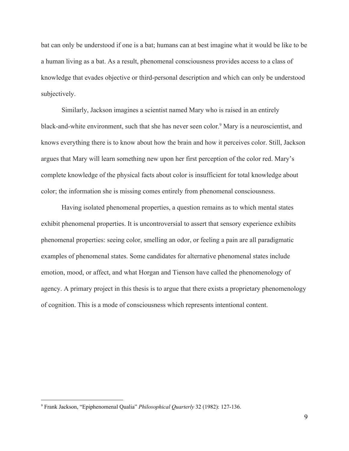bat can only be understood if one is a bat; humans can at best imagine what it would be like to be a human living as a bat. As a result, phenomenal consciousness provides access to a class of knowledge that evades objective or third-personal description and which can only be understood subjectively.

Similarly, Jackson imagines a scientist named Mary who is raised in an entirely black-and-white environment, such that she has never seen color.<sup>9</sup> Mary is a neuroscientist, and knows everything there is to know about how the brain and how it perceives color. Still, Jackson argues that Mary will learn something new upon her first perception of the color red. Mary's complete knowledge of the physical facts about color is insufficient for total knowledge about color; the information she is missing comes entirely from phenomenal consciousness.

Having isolated phenomenal properties, a question remains as to which mental states exhibit phenomenal properties. It is uncontroversial to assert that sensory experience exhibits phenomenal properties: seeing color, smelling an odor, or feeling a pain are all paradigmatic examples of phenomenal states. Some candidates for alternative phenomenal states include emotion, mood, or affect, and what Horgan and Tienson have called the phenomenology of agency. A primary project in this thesis is to argue that there exists a proprietary phenomenology of cognition. This is a mode of consciousness which represents intentional content.

<sup>9</sup> Frank Jackson, "Epiphenomenal Qualia" *Philosophical Quarterly* 32 (1982): 127-136.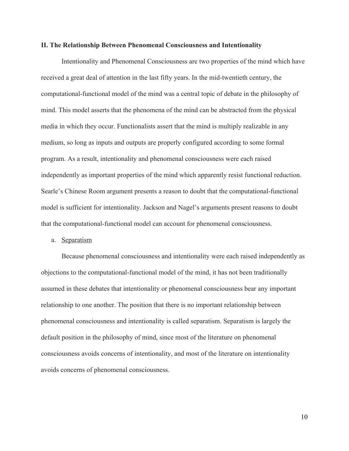#### **II. The Relationship Between Phenomenal Consciousness and Intentionality**

Intentionality and Phenomenal Consciousness are two properties of the mind which have received a great deal of attention in the last fifty years. In the mid-twentieth century, the computational-functional model of the mind was a central topic of debate in the philosophy of mind. This model asserts that the phenomena of the mind can be abstracted from the physical media in which they occur. Functionalists assert that the mind is multiply realizable in any medium, so long as inputs and outputs are properly configured according to some formal program. As a result, intentionality and phenomenal consciousness were each raised independently as important properties of the mind which apparently resist functional reduction. Searle's Chinese Room argument presents a reason to doubt that the computational-functional model is sufficient for intentionality. Jackson and Nagel's arguments present reasons to doubt that the computational-functional model can account for phenomenal consciousness.

#### a. Separatism

Because phenomenal consciousness and intentionality were each raised independently as objections to the computational-functional model of the mind, it has not been traditionally assumed in these debates that intentionality or phenomenal consciousness bear any important relationship to one another. The position that there is no important relationship between phenomenal consciousness and intentionality is called separatism. Separatism is largely the default position in the philosophy of mind, since most of the literature on phenomenal consciousness avoids concerns of intentionality, and most of the literature on intentionality avoids concerns of phenomenal consciousness.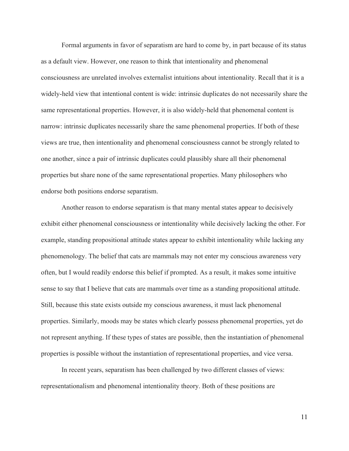Formal arguments in favor of separatism are hard to come by, in part because of its status as a default view. However, one reason to think that intentionality and phenomenal consciousness are unrelated involves externalist intuitions about intentionality. Recall that it is a widely-held view that intentional content is wide: intrinsic duplicates do not necessarily share the same representational properties. However, it is also widely-held that phenomenal content is narrow: intrinsic duplicates necessarily share the same phenomenal properties. If both of these views are true, then intentionality and phenomenal consciousness cannot be strongly related to one another, since a pair of intrinsic duplicates could plausibly share all their phenomenal properties but share none of the same representational properties. Many philosophers who endorse both positions endorse separatism.

Another reason to endorse separatism is that many mental states appear to decisively exhibit either phenomenal consciousness or intentionality while decisively lacking the other. For example, standing propositional attitude states appear to exhibit intentionality while lacking any phenomenology. The belief that cats are mammals may not enter my conscious awareness very often, but I would readily endorse this belief if prompted. As a result, it makes some intuitive sense to say that I believe that cats are mammals over time as a standing propositional attitude. Still, because this state exists outside my conscious awareness, it must lack phenomenal properties. Similarly, moods may be states which clearly possess phenomenal properties, yet do not represent anything. If these types of states are possible, then the instantiation of phenomenal properties is possible without the instantiation of representational properties, and vice versa.

In recent years, separatism has been challenged by two different classes of views: representationalism and phenomenal intentionality theory. Both of these positions are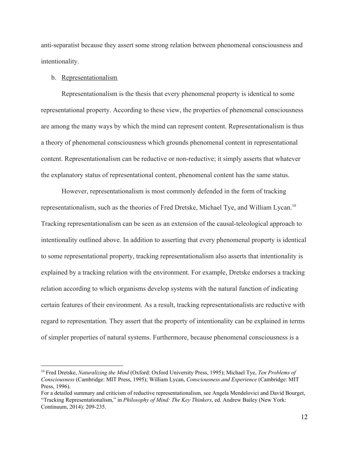anti-separatist because they assert some strong relation between phenomenal consciousness and intentionality.

#### b. Representationalism

Representationalism is the thesis that every phenomenal property is identical to some representational property. According to these view, the properties of phenomenal consciousness are among the many ways by which the mind can represent content. Representationalism is thus a theory of phenomenal consciousness which grounds phenomenal content in representational content. Representationalism can be reductive or non-reductive; it simply asserts that whatever the explanatory status of representational content, phenomenal content has the same status.

However, representationalism is most commonly defended in the form of tracking representationalism, such as the theories of Fred Dretske, Michael Tye, and William Lycan.<sup>10</sup> Tracking representationalism can be seen as an extension of the causal-teleological approach to intentionality outlined above. In addition to asserting that every phenomenal property is identical to some representational property, tracking representationalism also asserts that intentionality is explained by a tracking relation with the environment. For example, Dretske endorses a tracking relation according to which organisms develop systems with the natural function of indicating certain features of their environment. As a result, tracking representationalists are reductive with regard to representation. They assert that the property of intentionality can be explained in terms of simpler properties of natural systems. Furthermore, because phenomenal consciousness is a

<sup>10</sup> Fred Dretske, *Naturalizing the Mind* (Oxford: Oxford University Press, 1995); Michael Tye, *Ten Problems of Consciousness* (Cambridge: MIT Press, 1995); William Lycan, *Consciousness and Experience* (Cambridge: MIT Press, 1996).

For a detailed summary and criticism of reductive representationalism, see Angela Mendelovici and David Bourget, "Tracking Representationalism," in *Philosophy of Mind: The Key Thinkers*, ed. Andrew Bailey (New York: Continuum, 2014): 209-235.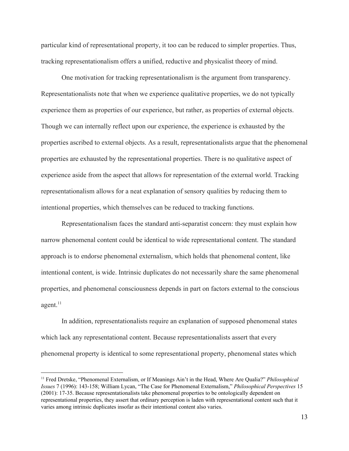particular kind of representational property, it too can be reduced to simpler properties. Thus, tracking representationalism offers a unified, reductive and physicalist theory of mind.

One motivation for tracking representationalism is the argument from transparency. Representationalists note that when we experience qualitative properties, we do not typically experience them as properties of our experience, but rather, as properties of external objects. Though we can internally reflect upon our experience, the experience is exhausted by the properties ascribed to external objects. As a result, representationalists argue that the phenomenal properties are exhausted by the representational properties. There is no qualitative aspect of experience aside from the aspect that allows for representation of the external world. Tracking representationalism allows for a neat explanation of sensory qualities by reducing them to intentional properties, which themselves can be reduced to tracking functions.

Representationalism faces the standard anti-separatist concern: they must explain how narrow phenomenal content could be identical to wide representational content. The standard approach is to endorse phenomenal externalism, which holds that phenomenal content, like intentional content, is wide. Intrinsic duplicates do not necessarily share the same phenomenal properties, and phenomenal consciousness depends in part on factors external to the conscious agent. $11$ 

In addition, representationalists require an explanation of supposed phenomenal states which lack any representational content. Because representationalists assert that every phenomenal property is identical to some representational property, phenomenal states which

<sup>11</sup> Fred Dretske, "Phenomenal Externalism, or If Meanings Ain't in the Head, Where Are Qualia?" *Philosophical Issues* 7 (1996): 143-158; William Lycan, "The Case for Phenomenal Externalism," *Philosophical Perspectives* 15 (2001): 17-35. Because representationalists take phenomenal properties to be ontologically dependent on representational properties, they assert that ordinary perception is laden with representational content such that it varies among intrinsic duplicates insofar as their intentional content also varies.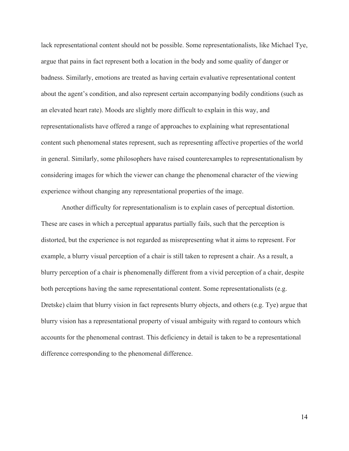lack representational content should not be possible. Some representationalists, like Michael Tye, argue that pains in fact represent both a location in the body and some quality of danger or badness. Similarly, emotions are treated as having certain evaluative representational content about the agent's condition, and also represent certain accompanying bodily conditions (such as an elevated heart rate). Moods are slightly more difficult to explain in this way, and representationalists have offered a range of approaches to explaining what representational content such phenomenal states represent, such as representing affective properties of the world in general. Similarly, some philosophers have raised counterexamples to representationalism by considering images for which the viewer can change the phenomenal character of the viewing experience without changing any representational properties of the image.

Another difficulty for representationalism is to explain cases of perceptual distortion. These are cases in which a perceptual apparatus partially fails, such that the perception is distorted, but the experience is not regarded as misrepresenting what it aims to represent. For example, a blurry visual perception of a chair is still taken to represent a chair. As a result, a blurry perception of a chair is phenomenally different from a vivid perception of a chair, despite both perceptions having the same representational content. Some representationalists (e.g. Dretske) claim that blurry vision in fact represents blurry objects, and others (e.g. Tye) argue that blurry vision has a representational property of visual ambiguity with regard to contours which accounts for the phenomenal contrast. This deficiency in detail is taken to be a representational difference corresponding to the phenomenal difference.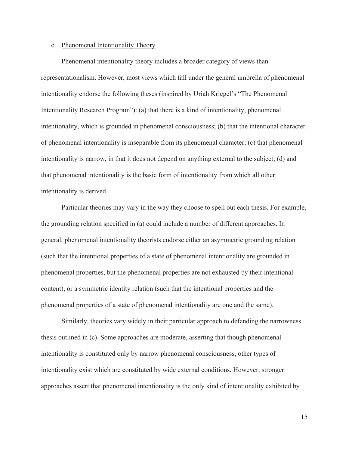#### c. Phenomenal Intentionality Theory

Phenomenal intentionality theory includes a broader category of views than representationalism. However, most views which fall under the general umbrella of phenomenal intentionality endorse the following theses (inspired by Uriah Kriegel's "The Phenomenal Intentionality Research Program"): (a) that there is a kind of intentionality, phenomenal intentionality, which is grounded in phenomenal consciousness; (b) that the intentional character of phenomenal intentionality is inseparable from its phenomenal character; (c) that phenomenal intentionality is narrow, in that it does not depend on anything external to the subject; (d) and that phenomenal intentionality is the basic form of intentionality from which all other intentionality is derived.

Particular theories may vary in the way they choose to spell out each thesis. For example, the grounding relation specified in (a) could include a number of different approaches. In general, phenomenal intentionality theorists endorse either an asymmetric grounding relation (such that the intentional properties of a state of phenomenal intentionality are grounded in phenomenal properties, but the phenomenal properties are not exhausted by their intentional content), or a symmetric identity relation (such that the intentional properties and the phenomenal properties of a state of phenomenal intentionality are one and the same).

Similarly, theories vary widely in their particular approach to defending the narrowness thesis outlined in (c). Some approaches are moderate, asserting that though phenomenal intentionality is constituted only by narrow phenomenal consciousness, other types of intentionality exist which are constituted by wide external conditions. However, stronger approaches assert that phenomenal intentionality is the only kind of intentionality exhibited by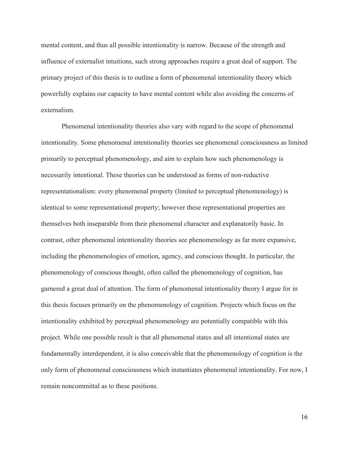mental content, and thus all possible intentionality is narrow. Because of the strength and influence of externalist intuitions, such strong approaches require a great deal of support. The primary project of this thesis is to outline a form of phenomenal intentionality theory which powerfully explains our capacity to have mental content while also avoiding the concerns of externalism.

Phenomenal intentionality theories also vary with regard to the scope of phenomenal intentionality. Some phenomenal intentionality theories see phenomenal consciousness as limited primarily to perceptual phenomenology, and aim to explain how such phenomenology is necessarily intentional. These theories can be understood as forms of non-reductive representationalism: every phenomenal property (limited to perceptual phenomenology) is identical to some representational property; however these representational properties are themselves both inseparable from their phenomenal character and explanatorily basic. In contrast, other phenomenal intentionality theories see phenomenology as far more expansive, including the phenomenologies of emotion, agency, and conscious thought. In particular, the phenomenology of conscious thought, often called the phenomenology of cognition, has garnered a great deal of attention. The form of phenomenal intentionality theory I argue for in this thesis focuses primarily on the phenomenology of cognition. Projects which focus on the intentionality exhibited by perceptual phenomenology are potentially compatible with this project. While one possible result is that all phenomenal states and all intentional states are fundamentally interdependent, it is also conceivable that the phenomenology of cognition is the only form of phenomenal consciousness which instantiates phenomenal intentionality. For now, I remain noncommittal as to these positions.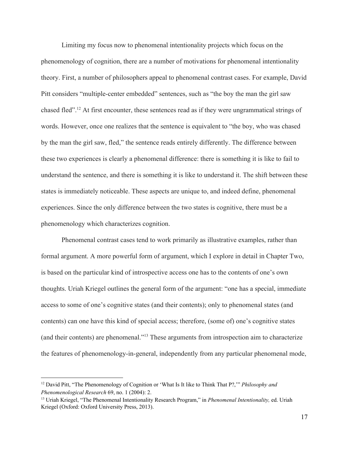Limiting my focus now to phenomenal intentionality projects which focus on the phenomenology of cognition, there are a number of motivations for phenomenal intentionality theory. First, a number of philosophers appeal to phenomenal contrast cases. For example, David Pitt considers "multiple-center embedded" sentences, such as "the boy the man the girl saw chased fled".<sup>12</sup> At first encounter, these sentences read as if they were ungrammatical strings of words. However, once one realizes that the sentence is equivalent to "the boy, who was chased by the man the girl saw, fled," the sentence reads entirely differently. The difference between these two experiences is clearly a phenomenal difference: there is something it is like to fail to understand the sentence, and there is something it is like to understand it. The shift between these states is immediately noticeable. These aspects are unique to, and indeed define, phenomenal experiences. Since the only difference between the two states is cognitive, there must be a phenomenology which characterizes cognition.

Phenomenal contrast cases tend to work primarily as illustrative examples, rather than formal argument. A more powerful form of argument, which I explore in detail in Chapter Two, is based on the particular kind of introspective access one has to the contents of one's own thoughts. Uriah Kriegel outlines the general form of the argument: "one has a special, immediate access to some of one's cognitive states (and their contents); only to phenomenal states (and contents) can one have this kind of special access; therefore, (some of) one's cognitive states (and their contents) are phenomenal."<sup>13</sup> These arguments from introspection aim to characterize the features of phenomenology-in-general, independently from any particular phenomenal mode,

<sup>12</sup> David Pitt, "The Phenomenology of Cognition or 'What Is It like to Think That P?,'" *Philosophy and Phenomenological Research* 69, no. 1 (2004): 2.

<sup>13</sup> Uriah Kriegel, "The Phenomenal Intentionality Research Program," in *Phenomenal Intentionality,* ed. Uriah Kriegel (Oxford: Oxford University Press, 2013).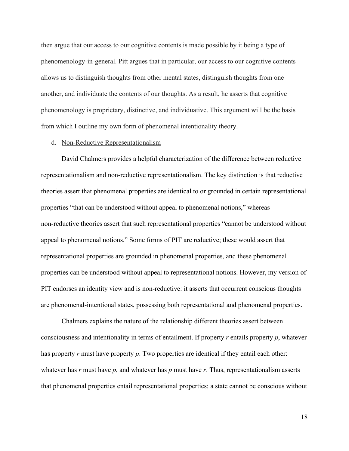then argue that our access to our cognitive contents is made possible by it being a type of phenomenology-in-general. Pitt argues that in particular, our access to our cognitive contents allows us to distinguish thoughts from other mental states, distinguish thoughts from one another, and individuate the contents of our thoughts. As a result, he asserts that cognitive phenomenology is proprietary, distinctive, and individuative. This argument will be the basis from which I outline my own form of phenomenal intentionality theory.

# d. Non-Reductive Representationalism

David Chalmers provides a helpful characterization of the difference between reductive representationalism and non-reductive representationalism. The key distinction is that reductive theories assert that phenomenal properties are identical to or grounded in certain representational properties "that can be understood without appeal to phenomenal notions," whereas non-reductive theories assert that such representational properties "cannot be understood without appeal to phenomenal notions." Some forms of PIT are reductive; these would assert that representational properties are grounded in phenomenal properties, and these phenomenal properties can be understood without appeal to representational notions. However, my version of PIT endorses an identity view and is non-reductive: it asserts that occurrent conscious thoughts are phenomenal-intentional states, possessing both representational and phenomenal properties.

Chalmers explains the nature of the relationship different theories assert between consciousness and intentionality in terms of entailment. If property *r* entails property *p*, whatever has property *r* must have property *p*. Two properties are identical if they entail each other: whatever has *r* must have *p*, and whatever has *p* must have *r*. Thus, representationalism asserts that phenomenal properties entail representational properties; a state cannot be conscious without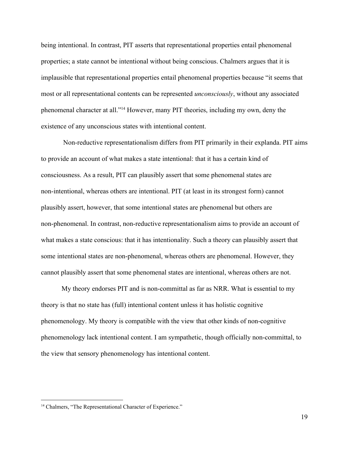being intentional. In contrast, PIT asserts that representational properties entail phenomenal properties; a state cannot be intentional without being conscious. Chalmers argues that it is implausible that representational properties entail phenomenal properties because "it seems that most or all representational contents can be represented *unconsciously*, without any associated phenomenal character at all."<sup>14</sup> However, many PIT theories, including my own, deny the existence of any unconscious states with intentional content.

 Non-reductive representationalism differs from PIT primarily in their explanda. PIT aims to provide an account of what makes a state intentional: that it has a certain kind of consciousness. As a result, PIT can plausibly assert that some phenomenal states are non-intentional, whereas others are intentional. PIT (at least in its strongest form) cannot plausibly assert, however, that some intentional states are phenomenal but others are non-phenomenal. In contrast, non-reductive representationalism aims to provide an account of what makes a state conscious: that it has intentionality. Such a theory can plausibly assert that some intentional states are non-phenomenal, whereas others are phenomenal. However, they cannot plausibly assert that some phenomenal states are intentional, whereas others are not.

My theory endorses PIT and is non-committal as far as NRR. What is essential to my theory is that no state has (full) intentional content unless it has holistic cognitive phenomenology. My theory is compatible with the view that other kinds of non-cognitive phenomenology lack intentional content. I am sympathetic, though officially non-committal, to the view that sensory phenomenology has intentional content.

<sup>&</sup>lt;sup>14</sup> Chalmers, "The Representational Character of Experience."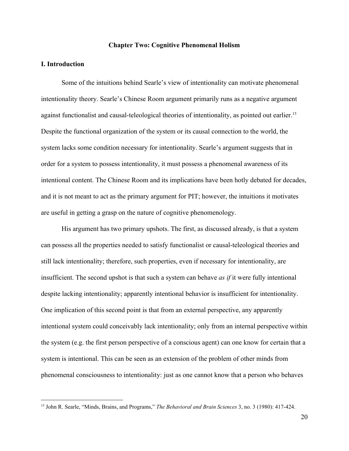#### **Chapter Two: Cognitive Phenomenal Holism**

# **I. Introduction**

Some of the intuitions behind Searle's view of intentionality can motivate phenomenal intentionality theory. Searle's Chinese Room argument primarily runs as a negative argument against functionalist and causal-teleological theories of intentionality, as pointed out earlier.<sup>15</sup> Despite the functional organization of the system or its causal connection to the world, the system lacks some condition necessary for intentionality. Searle's argument suggests that in order for a system to possess intentionality, it must possess a phenomenal awareness of its intentional content. The Chinese Room and its implications have been hotly debated for decades, and it is not meant to act as the primary argument for PIT; however, the intuitions it motivates are useful in getting a grasp on the nature of cognitive phenomenology.

His argument has two primary upshots. The first, as discussed already, is that a system can possess all the properties needed to satisfy functionalist or causal-teleological theories and still lack intentionality; therefore, such properties, even if necessary for intentionality, are insufficient. The second upshot is that such a system can behave *as if* it were fully intentional despite lacking intentionality; apparently intentional behavior is insufficient for intentionality. One implication of this second point is that from an external perspective, any apparently intentional system could conceivably lack intentionality; only from an internal perspective within the system (e.g. the first person perspective of a conscious agent) can one know for certain that a system is intentional. This can be seen as an extension of the problem of other minds from phenomenal consciousness to intentionality: just as one cannot know that a person who behaves

<sup>15</sup> John R. Searle, "Minds, Brains, and Programs," *The Behavioral and Brain Sciences* 3, no. 3 (1980): 417-424.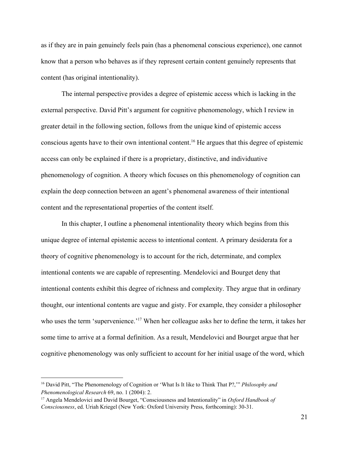as if they are in pain genuinely feels pain (has a phenomenal conscious experience), one cannot know that a person who behaves as if they represent certain content genuinely represents that content (has original intentionality).

The internal perspective provides a degree of epistemic access which is lacking in the external perspective. David Pitt's argument for cognitive phenomenology, which I review in greater detail in the following section, follows from the unique kind of epistemic access conscious agents have to their own intentional content.<sup>16</sup> He argues that this degree of epistemic access can only be explained if there is a proprietary, distinctive, and individuative phenomenology of cognition. A theory which focuses on this phenomenology of cognition can explain the deep connection between an agent's phenomenal awareness of their intentional content and the representational properties of the content itself.

In this chapter, I outline a phenomenal intentionality theory which begins from this unique degree of internal epistemic access to intentional content. A primary desiderata for a theory of cognitive phenomenology is to account for the rich, determinate, and complex intentional contents we are capable of representing. Mendelovici and Bourget deny that intentional contents exhibit this degree of richness and complexity. They argue that in ordinary thought, our intentional contents are vague and gisty. For example, they consider a philosopher who uses the term 'supervenience.'<sup>17</sup> When her colleague asks her to define the term, it takes her some time to arrive at a formal definition. As a result, Mendelovici and Bourget argue that her cognitive phenomenology was only sufficient to account for her initial usage of the word, which

<sup>16</sup> David Pitt, "The Phenomenology of Cognition or 'What Is It like to Think That P?,'" *Philosophy and Phenomenological Research* 69, no. 1 (2004): 2.

<sup>17</sup> Angela Mendelovici and David Bourget, "Consciousness and Intentionality" in *Oxford Handbook of Consciousness*, ed. Uriah Kriegel (New York: Oxford University Press, forthcoming): 30-31.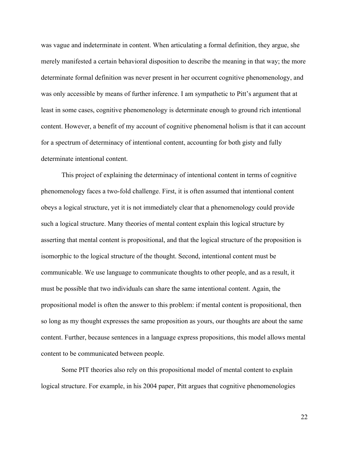was vague and indeterminate in content. When articulating a formal definition, they argue, she merely manifested a certain behavioral disposition to describe the meaning in that way; the more determinate formal definition was never present in her occurrent cognitive phenomenology, and was only accessible by means of further inference. I am sympathetic to Pitt's argument that at least in some cases, cognitive phenomenology is determinate enough to ground rich intentional content. However, a benefit of my account of cognitive phenomenal holism is that it can account for a spectrum of determinacy of intentional content, accounting for both gisty and fully determinate intentional content.

This project of explaining the determinacy of intentional content in terms of cognitive phenomenology faces a two-fold challenge. First, it is often assumed that intentional content obeys a logical structure, yet it is not immediately clear that a phenomenology could provide such a logical structure. Many theories of mental content explain this logical structure by asserting that mental content is propositional, and that the logical structure of the proposition is isomorphic to the logical structure of the thought. Second, intentional content must be communicable. We use language to communicate thoughts to other people, and as a result, it must be possible that two individuals can share the same intentional content. Again, the propositional model is often the answer to this problem: if mental content is propositional, then so long as my thought expresses the same proposition as yours, our thoughts are about the same content. Further, because sentences in a language express propositions, this model allows mental content to be communicated between people.

Some PIT theories also rely on this propositional model of mental content to explain logical structure. For example, in his 2004 paper, Pitt argues that cognitive phenomenologies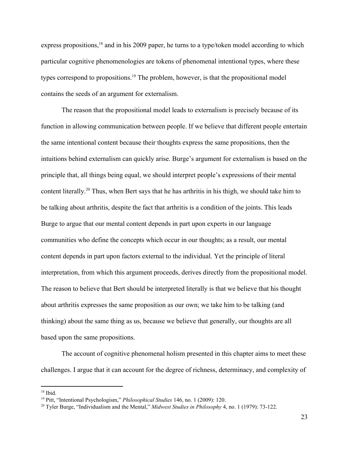express propositions,<sup>18</sup> and in his 2009 paper, he turns to a type/token model according to which particular cognitive phenomenologies are tokens of phenomenal intentional types, where these types correspond to propositions.<sup>19</sup> The problem, however, is that the propositional model contains the seeds of an argument for externalism.

The reason that the propositional model leads to externalism is precisely because of its function in allowing communication between people. If we believe that different people entertain the same intentional content because their thoughts express the same propositions, then the intuitions behind externalism can quickly arise. Burge's argument for externalism is based on the principle that, all things being equal, we should interpret people's expressions of their mental content literally.<sup>20</sup> Thus, when Bert says that he has arthritis in his thigh, we should take him to be talking about arthritis, despite the fact that arthritis is a condition of the joints. This leads Burge to argue that our mental content depends in part upon experts in our language communities who define the concepts which occur in our thoughts; as a result, our mental content depends in part upon factors external to the individual. Yet the principle of literal interpretation, from which this argument proceeds, derives directly from the propositional model. The reason to believe that Bert should be interpreted literally is that we believe that his thought about arthritis expresses the same proposition as our own; we take him to be talking (and thinking) about the same thing as us, because we believe that generally, our thoughts are all based upon the same propositions.

The account of cognitive phenomenal holism presented in this chapter aims to meet these challenges. I argue that it can account for the degree of richness, determinacy, and complexity of

 $18$  Ibid.

<sup>19</sup> Pitt, "Intentional Psychologism," *Philosophical Studies* 146, no. 1 (2009): 120.

<sup>20</sup> Tyler Burge, "Individualism and the Mental," *Midwest Studies in Philosophy* 4, no. 1 (1979): 73-122.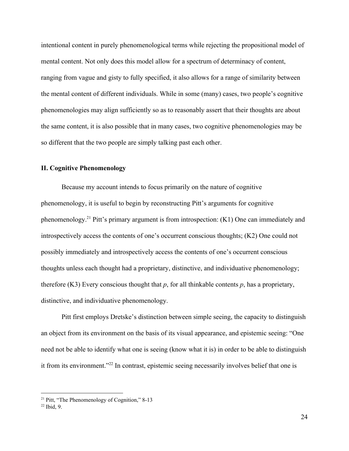intentional content in purely phenomenological terms while rejecting the propositional model of mental content. Not only does this model allow for a spectrum of determinacy of content, ranging from vague and gisty to fully specified, it also allows for a range of similarity between the mental content of different individuals. While in some (many) cases, two people's cognitive phenomenologies may align sufficiently so as to reasonably assert that their thoughts are about the same content, it is also possible that in many cases, two cognitive phenomenologies may be so different that the two people are simply talking past each other.

## **II. Cognitive Phenomenology**

Because my account intends to focus primarily on the nature of cognitive phenomenology, it is useful to begin by reconstructing Pitt's arguments for cognitive phenomenology.<sup>21</sup> Pitt's primary argument is from introspection:  $(K1)$  One can immediately and introspectively access the contents of one's occurrent conscious thoughts; (K2) One could not possibly immediately and introspectively access the contents of one's occurrent conscious thoughts unless each thought had a proprietary, distinctive, and individuative phenomenology; therefore (K3) Every conscious thought that  $p$ , for all thinkable contents  $p$ , has a proprietary, distinctive, and individuative phenomenology.

Pitt first employs Dretske's distinction between simple seeing, the capacity to distinguish an object from its environment on the basis of its visual appearance, and epistemic seeing: "One need not be able to identify what one is seeing (know what it is) in order to be able to distinguish it from its environment." $^{22}$  In contrast, epistemic seeing necessarily involves belief that one is

<sup>&</sup>lt;sup>21</sup> Pitt, "The Phenomenology of Cognition," 8-13

 $22$  Ibid, 9.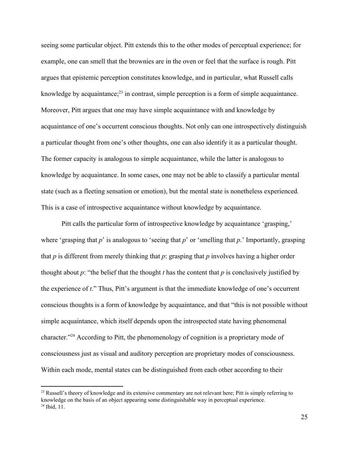seeing some particular object. Pitt extends this to the other modes of perceptual experience; for example, one can smell that the brownies are in the oven or feel that the surface is rough. Pitt argues that epistemic perception constitutes knowledge, and in particular, what Russell calls knowledge by acquaintance; $^{23}$  in contrast, simple perception is a form of simple acquaintance. Moreover, Pitt argues that one may have simple acquaintance with and knowledge by acquaintance of one's occurrent conscious thoughts. Not only can one introspectively distinguish a particular thought from one's other thoughts, one can also identify it as a particular thought. The former capacity is analogous to simple acquaintance, while the latter is analogous to knowledge by acquaintance. In some cases, one may not be able to classify a particular mental state (such as a fleeting sensation or emotion), but the mental state is nonetheless experienced. This is a case of introspective acquaintance without knowledge by acquaintance.

Pitt calls the particular form of introspective knowledge by acquaintance 'grasping,' where 'grasping that *p*' is analogous to 'seeing that *p*' or 'smelling that *p*.' Importantly, grasping that *p* is different from merely thinking that *p*: grasping that *p* involves having a higher order thought about  $p$ : "the belief that the thought  $t$  has the content that  $p$  is conclusively justified by the experience of *t*." Thus, Pitt's argument is that the immediate knowledge of one's occurrent conscious thoughts is a form of knowledge by acquaintance, and that "this is not possible without simple acquaintance, which itself depends upon the introspected state having phenomenal character."<sup>24</sup> According to Pitt, the phenomenology of cognition is a proprietary mode of consciousness just as visual and auditory perception are proprietary modes of consciousness. Within each mode, mental states can be distinguished from each other according to their

<sup>&</sup>lt;sup>23</sup> Russell's theory of knowledge and its extensive commentary are not relevant here; Pitt is simply referring to knowledge on the basis of an object appearing some distinguishable way in perceptual experience.  $24$  Ibid, 11.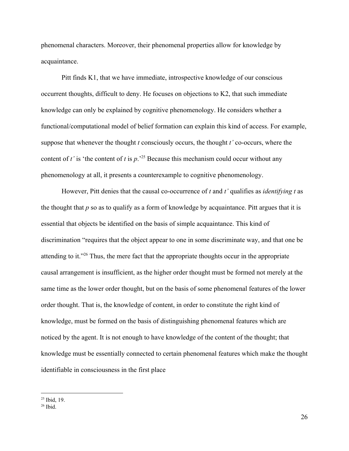phenomenal characters. Moreover, their phenomenal properties allow for knowledge by acquaintance.

Pitt finds K1, that we have immediate, introspective knowledge of our conscious occurrent thoughts, difficult to deny. He focuses on objections to K2, that such immediate knowledge can only be explained by cognitive phenomenology. He considers whether a functional/computational model of belief formation can explain this kind of access. For example, suppose that whenever the thought *t* consciously occurs, the thought *t'* co-occurs, where the content of *t*' is 'the content of *t* is  $p.^{25}$ . Because this mechanism could occur without any phenomenology at all, it presents a counterexample to cognitive phenomenology.

However, Pitt denies that the causal co-occurrence of *t* and *t'* qualifies as *identifying t* as the thought that *p* so as to qualify as a form of knowledge by acquaintance. Pitt argues that it is essential that objects be identified on the basis of simple acquaintance. This kind of discrimination "requires that the object appear to one in some discriminate way, and that one be attending to it."<sup>26</sup> Thus, the mere fact that the appropriate thoughts occur in the appropriate causal arrangement is insufficient, as the higher order thought must be formed not merely at the same time as the lower order thought, but on the basis of some phenomenal features of the lower order thought. That is, the knowledge of content, in order to constitute the right kind of knowledge, must be formed on the basis of distinguishing phenomenal features which are noticed by the agent. It is not enough to have knowledge of the content of the thought; that knowledge must be essentially connected to certain phenomenal features which make the thought identifiable in consciousness in the first place

<sup>&</sup>lt;sup>25</sup> Ibid, 19.

 $26$  Ibid.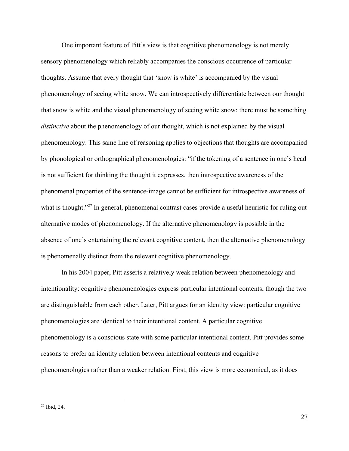One important feature of Pitt's view is that cognitive phenomenology is not merely sensory phenomenology which reliably accompanies the conscious occurrence of particular thoughts. Assume that every thought that 'snow is white' is accompanied by the visual phenomenology of seeing white snow. We can introspectively differentiate between our thought that snow is white and the visual phenomenology of seeing white snow; there must be something *distinctive* about the phenomenology of our thought, which is not explained by the visual phenomenology. This same line of reasoning applies to objections that thoughts are accompanied by phonological or orthographical phenomenologies: "if the tokening of a sentence in one's head is not sufficient for thinking the thought it expresses, then introspective awareness of the phenomenal properties of the sentence-image cannot be sufficient for introspective awareness of what is thought." $27$  In general, phenomenal contrast cases provide a useful heuristic for ruling out alternative modes of phenomenology. If the alternative phenomenology is possible in the absence of one's entertaining the relevant cognitive content, then the alternative phenomenology is phenomenally distinct from the relevant cognitive phenomenology.

In his 2004 paper, Pitt asserts a relatively weak relation between phenomenology and intentionality: cognitive phenomenologies express particular intentional contents, though the two are distinguishable from each other. Later, Pitt argues for an identity view: particular cognitive phenomenologies are identical to their intentional content. A particular cognitive phenomenology is a conscious state with some particular intentional content. Pitt provides some reasons to prefer an identity relation between intentional contents and cognitive phenomenologies rather than a weaker relation. First, this view is more economical, as it does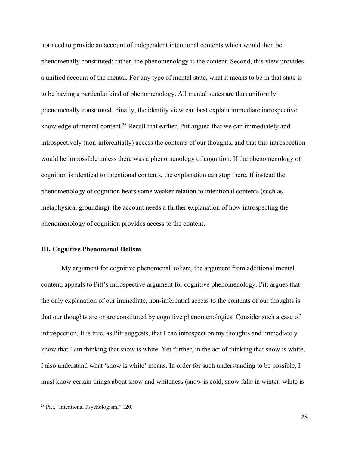not need to provide an account of independent intentional contents which would then be phenomenally constituted; rather, the phenomenology is the content. Second, this view provides a unified account of the mental. For any type of mental state, what it means to be in that state is to be having a particular kind of phenomenology. All mental states are thus uniformly phenomenally constituted. Finally, the identity view can best explain immediate introspective knowledge of mental content.<sup>28</sup> Recall that earlier, Pitt argued that we can immediately and introspectively (non-inferentially) access the contents of our thoughts, and that this introspection would be impossible unless there was a phenomenology of cognition. If the phenomenology of cognition is identical to intentional contents, the explanation can stop there. If instead the phenomenology of cognition bears some weaker relation to intentional contents (such as metaphysical grounding), the account needs a further explanation of how introspecting the phenomenology of cognition provides access to the content.

#### **III. Cognitive Phenomenal Holism**

My argument for cognitive phenomenal holism, the argument from additional mental content, appeals to Pitt's introspective argument for cognitive phenomenology. Pitt argues that the only explanation of our immediate, non-inferential access to the contents of our thoughts is that our thoughts are or are constituted by cognitive phenomenologies. Consider such a case of introspection. It is true, as Pitt suggests, that I can introspect on my thoughts and immediately know that I am thinking that snow is white. Yet further, in the act of thinking that snow is white, I also understand what 'snow is white' means. In order for such understanding to be possible, I must know certain things about snow and whiteness (snow is cold, snow falls in winter, white is

<sup>&</sup>lt;sup>28</sup> Pitt, "Intentional Psychologism," 120.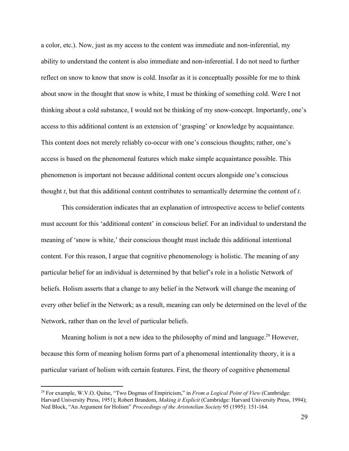a color, etc.). Now, just as my access to the content was immediate and non-inferential, my ability to understand the content is also immediate and non-inferential. I do not need to further reflect on snow to know that snow is cold. Insofar as it is conceptually possible for me to think about snow in the thought that snow is white, I must be thinking of something cold. Were I not thinking about a cold substance, I would not be thinking of my snow-concept. Importantly, one's access to this additional content is an extension of 'grasping' or knowledge by acquaintance. This content does not merely reliably co-occur with one's conscious thoughts; rather, one's access is based on the phenomenal features which make simple acquaintance possible. This phenomenon is important not because additional content occurs alongside one's conscious thought *t*, but that this additional content contributes to semantically determine the content of *t*.

This consideration indicates that an explanation of introspective access to belief contents must account for this 'additional content' in conscious belief. For an individual to understand the meaning of 'snow is white,' their conscious thought must include this additional intentional content. For this reason, I argue that cognitive phenomenology is holistic. The meaning of any particular belief for an individual is determined by that belief's role in a holistic Network of beliefs. Holism asserts that a change to any belief in the Network will change the meaning of every other belief in the Network; as a result, meaning can only be determined on the level of the Network, rather than on the level of particular beliefs.

Meaning holism is not a new idea to the philosophy of mind and language.<sup>29</sup> However, because this form of meaning holism forms part of a phenomenal intentionality theory, it is a particular variant of holism with certain features. First, the theory of cognitive phenomenal

<sup>29</sup> For example, W.V.O. Quine, "Two Dogmas of Empiricism," in *From a Logical Point of View* (Cambridge: Harvard University Press, 1951); Robert Brandom, *Making it Explicit* (Cambridge: Harvard University Press, 1994); Ned Block, "An Argument for Holism" *Proceedings of the Aristotelian Society* 95 (1995): 151-164.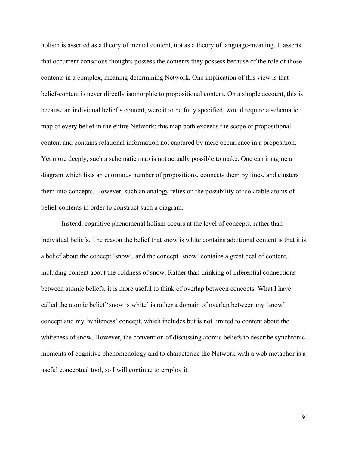holism is asserted as a theory of mental content, not as a theory of language-meaning. It asserts that occurrent conscious thoughts possess the contents they possess because of the role of those contents in a complex, meaning-determining Network. One implication of this view is that belief-content is never directly isomorphic to propositional content. On a simple account, this is because an individual belief's content, were it to be fully specified, would require a schematic map of every belief in the entire Network; this map both exceeds the scope of propositional content and contains relational information not captured by mere occurrence in a proposition. Yet more deeply, such a schematic map is not actually possible to make. One can imagine a diagram which lists an enormous number of propositions, connects them by lines, and clusters them into concepts. However, such an analogy relies on the possibility of isolatable atoms of belief-contents in order to construct such a diagram.

Instead, cognitive phenomenal holism occurs at the level of concepts, rather than individual beliefs. The reason the belief that snow is white contains additional content is that it is a belief about the concept 'snow', and the concept 'snow' contains a great deal of content, including content about the coldness of snow. Rather than thinking of inferential connections between atomic beliefs, it is more useful to think of overlap between concepts. What I have called the atomic belief 'snow is white' is rather a domain of overlap between my 'snow' concept and my 'whiteness' concept, which includes but is not limited to content about the whiteness of snow. However, the convention of discussing atomic beliefs to describe synchronic moments of cognitive phenomenology and to characterize the Network with a web metaphor is a useful conceptual tool, so I will continue to employ it.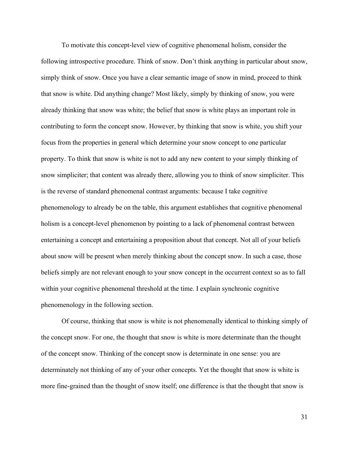To motivate this concept-level view of cognitive phenomenal holism, consider the following introspective procedure. Think of snow. Don't think anything in particular about snow, simply think of snow. Once you have a clear semantic image of snow in mind, proceed to think that snow is white. Did anything change? Most likely, simply by thinking of snow, you were already thinking that snow was white; the belief that snow is white plays an important role in contributing to form the concept snow. However, by thinking that snow is white, you shift your focus from the properties in general which determine your snow concept to one particular property. To think that snow is white is not to add any new content to your simply thinking of snow simpliciter; that content was already there, allowing you to think of snow simpliciter. This is the reverse of standard phenomenal contrast arguments: because I take cognitive phenomenology to already be on the table, this argument establishes that cognitive phenomenal holism is a concept-level phenomenon by pointing to a lack of phenomenal contrast between entertaining a concept and entertaining a proposition about that concept. Not all of your beliefs about snow will be present when merely thinking about the concept snow. In such a case, those beliefs simply are not relevant enough to your snow concept in the occurrent context so as to fall within your cognitive phenomenal threshold at the time. I explain synchronic cognitive phenomenology in the following section.

Of course, thinking that snow is white is not phenomenally identical to thinking simply of the concept snow. For one, the thought that snow is white is more determinate than the thought of the concept snow. Thinking of the concept snow is determinate in one sense: you are determinately not thinking of any of your other concepts. Yet the thought that snow is white is more fine-grained than the thought of snow itself; one difference is that the thought that snow is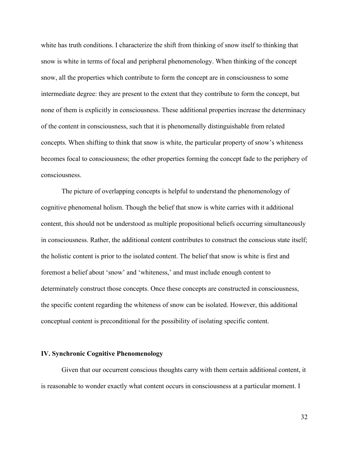white has truth conditions. I characterize the shift from thinking of snow itself to thinking that snow is white in terms of focal and peripheral phenomenology. When thinking of the concept snow, all the properties which contribute to form the concept are in consciousness to some intermediate degree: they are present to the extent that they contribute to form the concept, but none of them is explicitly in consciousness. These additional properties increase the determinacy of the content in consciousness, such that it is phenomenally distinguishable from related concepts. When shifting to think that snow is white, the particular property of snow's whiteness becomes focal to consciousness; the other properties forming the concept fade to the periphery of consciousness.

The picture of overlapping concepts is helpful to understand the phenomenology of cognitive phenomenal holism. Though the belief that snow is white carries with it additional content, this should not be understood as multiple propositional beliefs occurring simultaneously in consciousness. Rather, the additional content contributes to construct the conscious state itself; the holistic content is prior to the isolated content. The belief that snow is white is first and foremost a belief about 'snow' and 'whiteness,' and must include enough content to determinately construct those concepts. Once these concepts are constructed in consciousness, the specific content regarding the whiteness of snow can be isolated. However, this additional conceptual content is preconditional for the possibility of isolating specific content.

## **IV. Synchronic Cognitive Phenomenology**

Given that our occurrent conscious thoughts carry with them certain additional content, it is reasonable to wonder exactly what content occurs in consciousness at a particular moment. I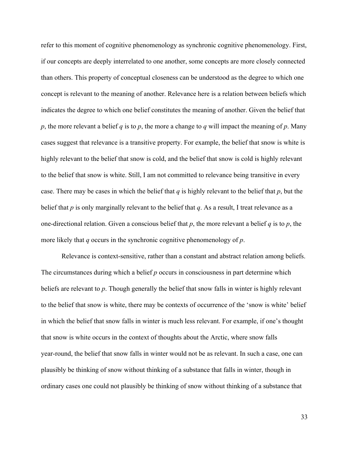refer to this moment of cognitive phenomenology as synchronic cognitive phenomenology. First, if our concepts are deeply interrelated to one another, some concepts are more closely connected than others. This property of conceptual closeness can be understood as the degree to which one concept is relevant to the meaning of another. Relevance here is a relation between beliefs which indicates the degree to which one belief constitutes the meaning of another. Given the belief that *p*, the more relevant a belief *q* is to *p*, the more a change to *q* will impact the meaning of *p*. Many cases suggest that relevance is a transitive property. For example, the belief that snow is white is highly relevant to the belief that snow is cold, and the belief that snow is cold is highly relevant to the belief that snow is white. Still, I am not committed to relevance being transitive in every case. There may be cases in which the belief that *q* is highly relevant to the belief that *p*, but the belief that *p* is only marginally relevant to the belief that *q*. As a result, I treat relevance as a one-directional relation. Given a conscious belief that *p*, the more relevant a belief *q* is to *p*, the more likely that *q* occurs in the synchronic cognitive phenomenology of *p*.

Relevance is context-sensitive, rather than a constant and abstract relation among beliefs. The circumstances during which a belief *p* occurs in consciousness in part determine which beliefs are relevant to *p*. Though generally the belief that snow falls in winter is highly relevant to the belief that snow is white, there may be contexts of occurrence of the 'snow is white' belief in which the belief that snow falls in winter is much less relevant. For example, if one's thought that snow is white occurs in the context of thoughts about the Arctic, where snow falls year-round, the belief that snow falls in winter would not be as relevant. In such a case, one can plausibly be thinking of snow without thinking of a substance that falls in winter, though in ordinary cases one could not plausibly be thinking of snow without thinking of a substance that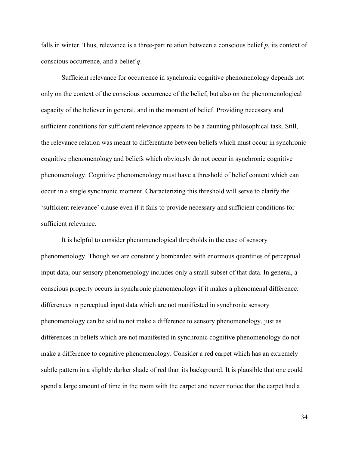falls in winter. Thus, relevance is a three-part relation between a conscious belief *p*, its context of conscious occurrence, and a belief *q*.

Sufficient relevance for occurrence in synchronic cognitive phenomenology depends not only on the context of the conscious occurrence of the belief, but also on the phenomenological capacity of the believer in general, and in the moment of belief. Providing necessary and sufficient conditions for sufficient relevance appears to be a daunting philosophical task. Still, the relevance relation was meant to differentiate between beliefs which must occur in synchronic cognitive phenomenology and beliefs which obviously do not occur in synchronic cognitive phenomenology. Cognitive phenomenology must have a threshold of belief content which can occur in a single synchronic moment. Characterizing this threshold will serve to clarify the 'sufficient relevance' clause even if it fails to provide necessary and sufficient conditions for sufficient relevance.

It is helpful to consider phenomenological thresholds in the case of sensory phenomenology. Though we are constantly bombarded with enormous quantities of perceptual input data, our sensory phenomenology includes only a small subset of that data. In general, a conscious property occurs in synchronic phenomenology if it makes a phenomenal difference: differences in perceptual input data which are not manifested in synchronic sensory phenomenology can be said to not make a difference to sensory phenomenology, just as differences in beliefs which are not manifested in synchronic cognitive phenomenology do not make a difference to cognitive phenomenology. Consider a red carpet which has an extremely subtle pattern in a slightly darker shade of red than its background. It is plausible that one could spend a large amount of time in the room with the carpet and never notice that the carpet had a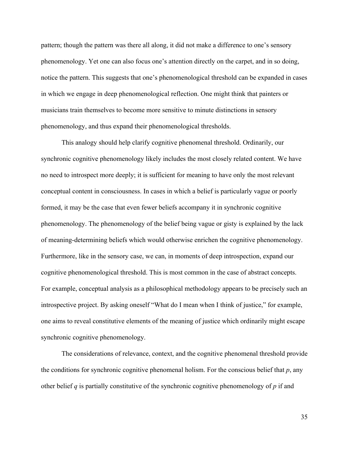pattern; though the pattern was there all along, it did not make a difference to one's sensory phenomenology. Yet one can also focus one's attention directly on the carpet, and in so doing, notice the pattern. This suggests that one's phenomenological threshold can be expanded in cases in which we engage in deep phenomenological reflection. One might think that painters or musicians train themselves to become more sensitive to minute distinctions in sensory phenomenology, and thus expand their phenomenological thresholds.

This analogy should help clarify cognitive phenomenal threshold. Ordinarily, our synchronic cognitive phenomenology likely includes the most closely related content. We have no need to introspect more deeply; it is sufficient for meaning to have only the most relevant conceptual content in consciousness. In cases in which a belief is particularly vague or poorly formed, it may be the case that even fewer beliefs accompany it in synchronic cognitive phenomenology. The phenomenology of the belief being vague or gisty is explained by the lack of meaning-determining beliefs which would otherwise enrichen the cognitive phenomenology. Furthermore, like in the sensory case, we can, in moments of deep introspection, expand our cognitive phenomenological threshold. This is most common in the case of abstract concepts. For example, conceptual analysis as a philosophical methodology appears to be precisely such an introspective project. By asking oneself "What do I mean when I think of justice," for example, one aims to reveal constitutive elements of the meaning of justice which ordinarily might escape synchronic cognitive phenomenology.

The considerations of relevance, context, and the cognitive phenomenal threshold provide the conditions for synchronic cognitive phenomenal holism. For the conscious belief that *p*, any other belief *q* is partially constitutive of the synchronic cognitive phenomenology of *p* if and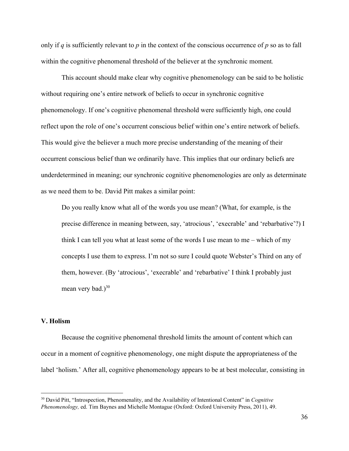only if *q* is sufficiently relevant to *p* in the context of the conscious occurrence of *p* so as to fall within the cognitive phenomenal threshold of the believer at the synchronic moment*.*

This account should make clear why cognitive phenomenology can be said to be holistic without requiring one's entire network of beliefs to occur in synchronic cognitive phenomenology. If one's cognitive phenomenal threshold were sufficiently high, one could reflect upon the role of one's occurrent conscious belief within one's entire network of beliefs. This would give the believer a much more precise understanding of the meaning of their occurrent conscious belief than we ordinarily have. This implies that our ordinary beliefs are underdetermined in meaning; our synchronic cognitive phenomenologies are only as determinate as we need them to be. David Pitt makes a similar point:

Do you really know what all of the words you use mean? (What, for example, is the precise difference in meaning between, say, 'atrocious', 'execrable' and 'rebarbative'?) I think I can tell you what at least some of the words I use mean to me – which of my concepts I use them to express. I'm not so sure I could quote Webster's Third on any of them, however. (By 'atrocious', 'execrable' and 'rebarbative' I think I probably just mean very bad.) $30$ 

## **V. Holism**

Because the cognitive phenomenal threshold limits the amount of content which can occur in a moment of cognitive phenomenology, one might dispute the appropriateness of the label 'holism.' After all, cognitive phenomenology appears to be at best molecular, consisting in

<sup>30</sup> David Pitt, "Introspection, Phenomenality, and the Availability of Intentional Content" in *Cognitive Phenomenology,* ed. Tim Baynes and Michelle Montague (Oxford: Oxford University Press, 2011), 49.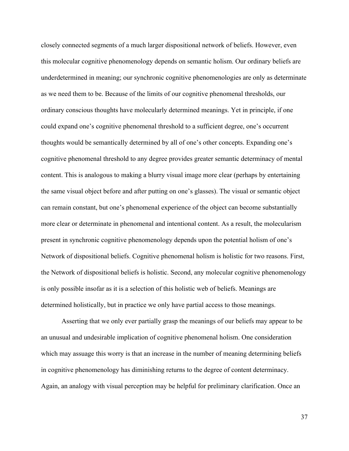closely connected segments of a much larger dispositional network of beliefs. However, even this molecular cognitive phenomenology depends on semantic holism. Our ordinary beliefs are underdetermined in meaning; our synchronic cognitive phenomenologies are only as determinate as we need them to be. Because of the limits of our cognitive phenomenal thresholds, our ordinary conscious thoughts have molecularly determined meanings. Yet in principle, if one could expand one's cognitive phenomenal threshold to a sufficient degree, one's occurrent thoughts would be semantically determined by all of one's other concepts. Expanding one's cognitive phenomenal threshold to any degree provides greater semantic determinacy of mental content. This is analogous to making a blurry visual image more clear (perhaps by entertaining the same visual object before and after putting on one's glasses). The visual or semantic object can remain constant, but one's phenomenal experience of the object can become substantially more clear or determinate in phenomenal and intentional content. As a result, the molecularism present in synchronic cognitive phenomenology depends upon the potential holism of one's Network of dispositional beliefs. Cognitive phenomenal holism is holistic for two reasons. First, the Network of dispositional beliefs is holistic. Second, any molecular cognitive phenomenology is only possible insofar as it is a selection of this holistic web of beliefs. Meanings are determined holistically, but in practice we only have partial access to those meanings.

Asserting that we only ever partially grasp the meanings of our beliefs may appear to be an unusual and undesirable implication of cognitive phenomenal holism. One consideration which may assuage this worry is that an increase in the number of meaning determining beliefs in cognitive phenomenology has diminishing returns to the degree of content determinacy. Again, an analogy with visual perception may be helpful for preliminary clarification. Once an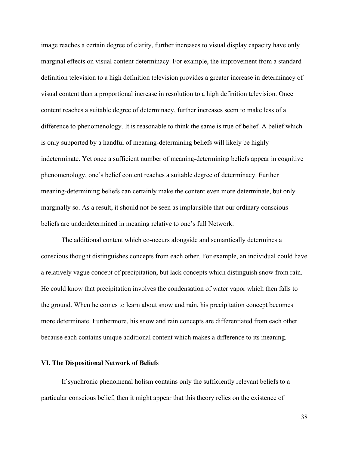image reaches a certain degree of clarity, further increases to visual display capacity have only marginal effects on visual content determinacy. For example, the improvement from a standard definition television to a high definition television provides a greater increase in determinacy of visual content than a proportional increase in resolution to a high definition television. Once content reaches a suitable degree of determinacy, further increases seem to make less of a difference to phenomenology. It is reasonable to think the same is true of belief. A belief which is only supported by a handful of meaning-determining beliefs will likely be highly indeterminate. Yet once a sufficient number of meaning-determining beliefs appear in cognitive phenomenology, one's belief content reaches a suitable degree of determinacy. Further meaning-determining beliefs can certainly make the content even more determinate, but only marginally so. As a result, it should not be seen as implausible that our ordinary conscious beliefs are underdetermined in meaning relative to one's full Network.

The additional content which co-occurs alongside and semantically determines a conscious thought distinguishes concepts from each other. For example, an individual could have a relatively vague concept of precipitation, but lack concepts which distinguish snow from rain. He could know that precipitation involves the condensation of water vapor which then falls to the ground. When he comes to learn about snow and rain, his precipitation concept becomes more determinate. Furthermore, his snow and rain concepts are differentiated from each other because each contains unique additional content which makes a difference to its meaning.

### **VI. The Dispositional Network of Beliefs**

If synchronic phenomenal holism contains only the sufficiently relevant beliefs to a particular conscious belief, then it might appear that this theory relies on the existence of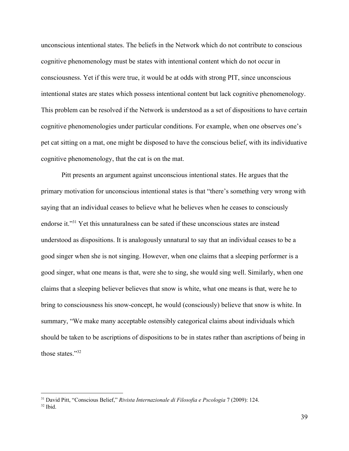unconscious intentional states. The beliefs in the Network which do not contribute to conscious cognitive phenomenology must be states with intentional content which do not occur in consciousness. Yet if this were true, it would be at odds with strong PIT, since unconscious intentional states are states which possess intentional content but lack cognitive phenomenology. This problem can be resolved if the Network is understood as a set of dispositions to have certain cognitive phenomenologies under particular conditions. For example, when one observes one's pet cat sitting on a mat, one might be disposed to have the conscious belief, with its individuative cognitive phenomenology, that the cat is on the mat.

Pitt presents an argument against unconscious intentional states. He argues that the primary motivation for unconscious intentional states is that "there's something very wrong with saying that an individual ceases to believe what he believes when he ceases to consciously endorse it."<sup>31</sup> Yet this unnaturalness can be sated if these unconscious states are instead understood as dispositions. It is analogously unnatural to say that an individual ceases to be a good singer when she is not singing. However, when one claims that a sleeping performer is a good singer, what one means is that, were she to sing, she would sing well. Similarly, when one claims that a sleeping believer believes that snow is white, what one means is that, were he to bring to consciousness his snow-concept, he would (consciously) believe that snow is white. In summary, "We make many acceptable ostensibly categorical claims about individuals which should be taken to be ascriptions of dispositions to be in states rather than ascriptions of being in those states."<sup>32</sup>

<sup>31</sup> David Pitt, "Conscious Belief," *Rivista Internazionale di Filosofia e Pscologia* 7 (2009): 124.  $32$  Ibid.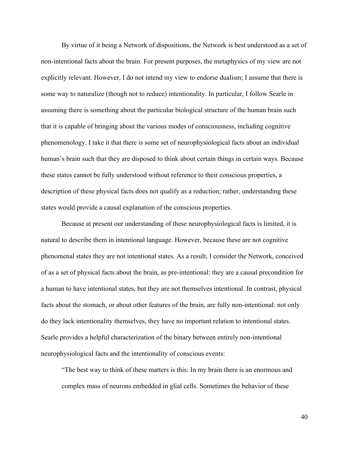By virtue of it being a Network of dispositions, the Network is best understood as a set of non-intentional facts about the brain. For present purposes, the metaphysics of my view are not explicitly relevant. However, I do not intend my view to endorse dualism; I assume that there is some way to naturalize (though not to reduce) intentionality. In particular, I follow Searle in assuming there is something about the particular biological structure of the human brain such that it is capable of bringing about the various modes of consciousness, including cognitive phenomenology. I take it that there is some set of neurophysiological facts about an individual human's brain such that they are disposed to think about certain things in certain ways. Because these states cannot be fully understood without reference to their conscious properties, a description of these physical facts does not qualify as a reduction; rather, understanding these states would provide a causal explanation of the conscious properties.

Because at present our understanding of these neurophysiological facts is limited, it is natural to describe them in intentional language. However, because these are not cognitive phenomenal states they are not intentional states. As a result, I consider the Network, conceived of as a set of physical facts about the brain, as pre-intentional: they are a causal precondition for a human to have intentional states, but they are not themselves intentional. In contrast, physical facts about the stomach, or about other features of the brain, are fully non-intentional: not only do they lack intentionality themselves, they have no important relation to intentional states. Searle provides a helpful characterization of the binary between entirely non-intentional neurophysiological facts and the intentionality of conscious events:

"The best way to think of these matters is this: In my brain there is an enormous and complex mass of neurons embedded in glial cells. Sometimes the behavior of these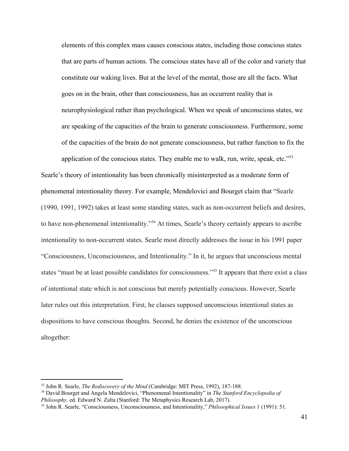elements of this complex mass causes conscious states, including those conscious states that are parts of human actions. The conscious states have all of the color and variety that constitute our waking lives. But at the level of the mental, those are all the facts. What goes on in the brain, other than consciousness, has an occurrent reality that is neurophysiological rather than psychological. When we speak of unconscious states, we are speaking of the capacities of the brain to generate consciousness. Furthermore, some of the capacities of the brain do not generate consciousness, but rather function to fix the application of the conscious states. They enable me to walk, run, write, speak, etc." $33$ 

Searle's theory of intentionality has been chronically misinterpreted as a moderate form of phenomenal intentionality theory. For example, Mendelovici and Bourget claim that "Searle (1990, 1991, 1992) takes at least some standing states, such as non-occurrent beliefs and desires, to have non-phenomenal intentionality."<sup>34</sup> At times, Searle's theory certainly appears to ascribe intentionality to non-occurrent states. Searle most directly addresses the issue in his 1991 paper "Consciousness, Unconsciousness, and Intentionality." In it, he argues that unconscious mental states "must be at least possible candidates for consciousness."<sup>35</sup> It appears that there exist a class of intentional state which is not conscious but merely potentially conscious. However, Searle later rules out this interpretation. First, he classes supposed unconscious intentional states as dispositions to have conscious thoughts. Second, he denies the existence of the unconscious altogether:

<sup>33</sup> John R. Searle, *The Rediscovery of the Mind* (Cambridge: MIT Press, 1992), 187-188.

<sup>34</sup> David Bourget and Angela Mendelovici, "Phenomenal Intentionality" in *The Stanford Encyclopedia of Philosophy,* ed. Edward N. Zalta (Stanford: The Metaphysics Research Lab, 2017).

<sup>35</sup> John R. Searle, "Consciousness, Unconsciousness, and Intentionality," *Philosophical Issues* 1 (1991): 51.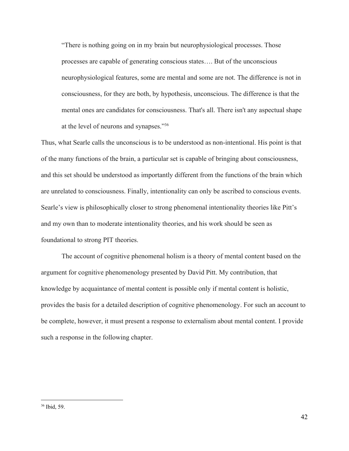"There is nothing going on in my brain but neurophysiological processes. Those processes are capable of generating conscious states…. But of the unconscious neurophysiological features, some are mental and some are not. The difference is not in consciousness, for they are both, by hypothesis, unconscious. The difference is that the mental ones are candidates for consciousness. That's all. There isn't any aspectual shape at the level of neurons and synapses."<sup>36</sup>

Thus, what Searle calls the unconscious is to be understood as non-intentional. His point is that of the many functions of the brain, a particular set is capable of bringing about consciousness, and this set should be understood as importantly different from the functions of the brain which are unrelated to consciousness. Finally, intentionality can only be ascribed to conscious events. Searle's view is philosophically closer to strong phenomenal intentionality theories like Pitt's and my own than to moderate intentionality theories, and his work should be seen as foundational to strong PIT theories.

The account of cognitive phenomenal holism is a theory of mental content based on the argument for cognitive phenomenology presented by David Pitt. My contribution, that knowledge by acquaintance of mental content is possible only if mental content is holistic, provides the basis for a detailed description of cognitive phenomenology. For such an account to be complete, however, it must present a response to externalism about mental content. I provide such a response in the following chapter.

<sup>36</sup> Ibid, 59.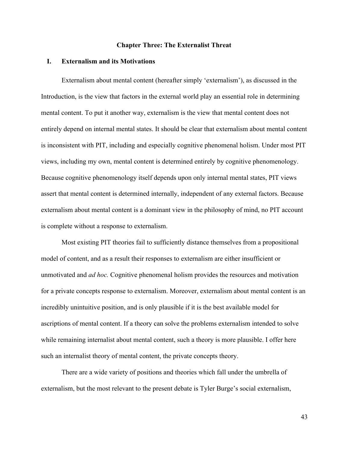### **Chapter Three: The Externalist Threat**

#### **I. Externalism and its Motivations**

Externalism about mental content (hereafter simply 'externalism'), as discussed in the Introduction, is the view that factors in the external world play an essential role in determining mental content. To put it another way, externalism is the view that mental content does not entirely depend on internal mental states. It should be clear that externalism about mental content is inconsistent with PIT, including and especially cognitive phenomenal holism. Under most PIT views, including my own, mental content is determined entirely by cognitive phenomenology. Because cognitive phenomenology itself depends upon only internal mental states, PIT views assert that mental content is determined internally, independent of any external factors. Because externalism about mental content is a dominant view in the philosophy of mind, no PIT account is complete without a response to externalism.

Most existing PIT theories fail to sufficiently distance themselves from a propositional model of content, and as a result their responses to externalism are either insufficient or unmotivated and *ad hoc.* Cognitive phenomenal holism provides the resources and motivation for a private concepts response to externalism. Moreover, externalism about mental content is an incredibly unintuitive position, and is only plausible if it is the best available model for ascriptions of mental content. If a theory can solve the problems externalism intended to solve while remaining internalist about mental content, such a theory is more plausible. I offer here such an internalist theory of mental content, the private concepts theory.

There are a wide variety of positions and theories which fall under the umbrella of externalism, but the most relevant to the present debate is Tyler Burge's social externalism,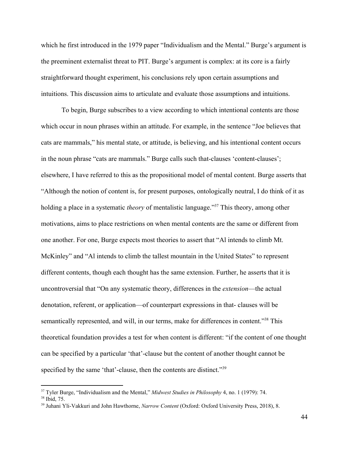which he first introduced in the 1979 paper "Individualism and the Mental." Burge's argument is the preeminent externalist threat to PIT. Burge's argument is complex: at its core is a fairly straightforward thought experiment, his conclusions rely upon certain assumptions and intuitions. This discussion aims to articulate and evaluate those assumptions and intuitions.

To begin, Burge subscribes to a view according to which intentional contents are those which occur in noun phrases within an attitude. For example, in the sentence "Joe believes that cats are mammals," his mental state, or attitude, is believing, and his intentional content occurs in the noun phrase "cats are mammals." Burge calls such that-clauses 'content-clauses'; elsewhere, I have referred to this as the propositional model of mental content. Burge asserts that "Although the notion of content is, for present purposes, ontologically neutral, I do think of it as holding a place in a systematic *theory* of mentalistic language."<sup>37</sup> This theory, among other motivations, aims to place restrictions on when mental contents are the same or different from one another. For one, Burge expects most theories to assert that "Al intends to climb Mt. McKinley" and "Al intends to climb the tallest mountain in the United States" to represent different contents, though each thought has the same extension. Further, he asserts that it is uncontroversial that "On any systematic theory, differences in the *extension*—the actual denotation, referent, or application—of counterpart expressions in that- clauses will be semantically represented, and will, in our terms, make for differences in content."<sup>38</sup> This theoretical foundation provides a test for when content is different: "if the content of one thought can be specified by a particular 'that'-clause but the content of another thought cannot be specified by the same 'that'-clause, then the contents are distinct."<sup>39</sup>

<sup>37</sup> Tyler Burge, "Individualism and the Mental," *Midwest Studies in Philosophy* 4, no. 1 (1979): 74. <sup>38</sup> Ibid, 75.

<sup>39</sup> Juhani Yli-Vakkuri and John Hawthorne, *Narrow Content* (Oxford: Oxford University Press, 2018), 8.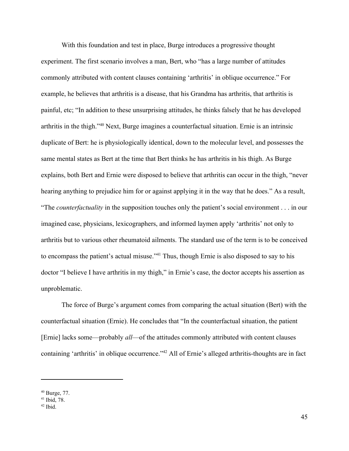With this foundation and test in place, Burge introduces a progressive thought experiment. The first scenario involves a man, Bert, who "has a large number of attitudes commonly attributed with content clauses containing 'arthritis' in oblique occurrence." For example, he believes that arthritis is a disease, that his Grandma has arthritis, that arthritis is painful, etc; "In addition to these unsurprising attitudes, he thinks falsely that he has developed arthritis in the thigh." $40$  Next, Burge imagines a counterfactual situation. Ernie is an intrinsic duplicate of Bert: he is physiologically identical, down to the molecular level, and possesses the same mental states as Bert at the time that Bert thinks he has arthritis in his thigh. As Burge explains, both Bert and Ernie were disposed to believe that arthritis can occur in the thigh, "never hearing anything to prejudice him for or against applying it in the way that he does." As a result, "The *counterfactuality* in the supposition touches only the patient's social environment . . . in our imagined case, physicians, lexicographers, and informed laymen apply 'arthritis' not only to arthritis but to various other rheumatoid ailments. The standard use of the term is to be conceived to encompass the patient's actual misuse."<sup>41</sup> Thus, though Ernie is also disposed to say to his doctor "I believe I have arthritis in my thigh," in Ernie's case, the doctor accepts his assertion as unproblematic.

The force of Burge's argument comes from comparing the actual situation (Bert) with the counterfactual situation (Ernie). He concludes that "In the counterfactual situation, the patient [Ernie] lacks some—probably *all*—of the attitudes commonly attributed with content clauses containing 'arthritis' in oblique occurrence."<sup>42</sup> All of Ernie's alleged arthritis-thoughts are in fact

<sup>40</sup> Burge, 77.

<sup>41</sup> Ibid, 78.

 $42$  Ibid.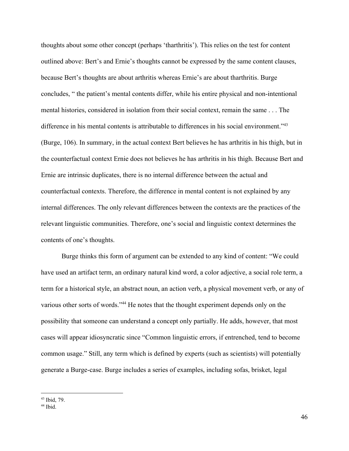thoughts about some other concept (perhaps 'tharthritis'). This relies on the test for content outlined above: Bert's and Ernie's thoughts cannot be expressed by the same content clauses, because Bert's thoughts are about arthritis whereas Ernie's are about tharthritis. Burge concludes, " the patient's mental contents differ, while his entire physical and non-intentional mental histories, considered in isolation from their social context, remain the same . . . The difference in his mental contents is attributable to differences in his social environment."<sup>43</sup> (Burge, 106). In summary, in the actual context Bert believes he has arthritis in his thigh, but in the counterfactual context Ernie does not believes he has arthritis in his thigh. Because Bert and Ernie are intrinsic duplicates, there is no internal difference between the actual and counterfactual contexts. Therefore, the difference in mental content is not explained by any internal differences. The only relevant differences between the contexts are the practices of the relevant linguistic communities. Therefore, one's social and linguistic context determines the contents of one's thoughts.

Burge thinks this form of argument can be extended to any kind of content: "We could have used an artifact term, an ordinary natural kind word, a color adjective, a social role term, a term for a historical style, an abstract noun, an action verb, a physical movement verb, or any of various other sorts of words."<sup>44</sup> He notes that the thought experiment depends only on the possibility that someone can understand a concept only partially. He adds, however, that most cases will appear idiosyncratic since "Common linguistic errors, if entrenched, tend to become common usage." Still, any term which is defined by experts (such as scientists) will potentially generate a Burge-case. Burge includes a series of examples, including sofas, brisket, legal

<sup>43</sup> Ibid, 79.

 $44$  Ibid.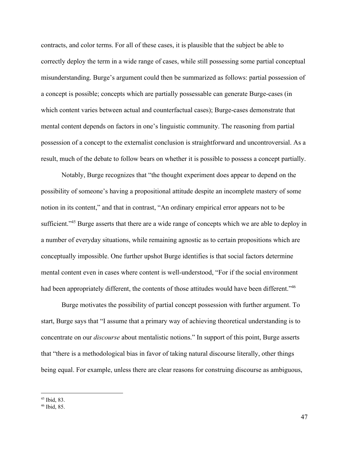contracts, and color terms. For all of these cases, it is plausible that the subject be able to correctly deploy the term in a wide range of cases, while still possessing some partial conceptual misunderstanding. Burge's argument could then be summarized as follows: partial possession of a concept is possible; concepts which are partially possessable can generate Burge-cases (in which content varies between actual and counterfactual cases); Burge-cases demonstrate that mental content depends on factors in one's linguistic community. The reasoning from partial possession of a concept to the externalist conclusion is straightforward and uncontroversial. As a result, much of the debate to follow bears on whether it is possible to possess a concept partially.

Notably, Burge recognizes that "the thought experiment does appear to depend on the possibility of someone's having a propositional attitude despite an incomplete mastery of some notion in its content," and that in contrast, "An ordinary empirical error appears not to be sufficient."<sup>45</sup> Burge asserts that there are a wide range of concepts which we are able to deploy in a number of everyday situations, while remaining agnostic as to certain propositions which are conceptually impossible. One further upshot Burge identifies is that social factors determine mental content even in cases where content is well-understood, "For if the social environment had been appropriately different, the contents of those attitudes would have been different."<sup>46</sup>

Burge motivates the possibility of partial concept possession with further argument. To start, Burge says that "I assume that a primary way of achieving theoretical understanding is to concentrate on our *discourse* about mentalistic notions." In support of this point, Burge asserts that "there is a methodological bias in favor of taking natural discourse literally, other things being equal. For example, unless there are clear reasons for construing discourse as ambiguous,

<sup>45</sup> Ibid, 83.

<sup>46</sup> Ibid, 85.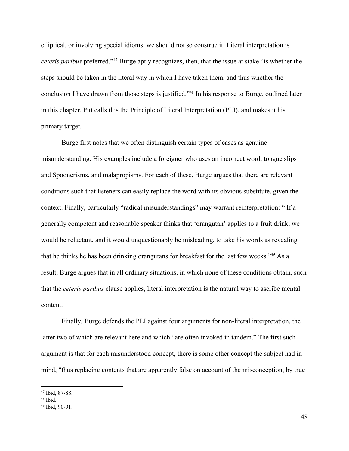elliptical, or involving special idioms, we should not so construe it. Literal interpretation is *ceteris paribus* preferred."<sup>47</sup> Burge aptly recognizes, then, that the issue at stake "is whether the steps should be taken in the literal way in which I have taken them, and thus whether the conclusion I have drawn from those steps is justified."<sup>48</sup> In his response to Burge, outlined later in this chapter, Pitt calls this the Principle of Literal Interpretation (PLI), and makes it his primary target.

Burge first notes that we often distinguish certain types of cases as genuine misunderstanding. His examples include a foreigner who uses an incorrect word, tongue slips and Spoonerisms, and malapropisms. For each of these, Burge argues that there are relevant conditions such that listeners can easily replace the word with its obvious substitute, given the context. Finally, particularly "radical misunderstandings" may warrant reinterpretation: " If a generally competent and reasonable speaker thinks that 'orangutan' applies to a fruit drink, we would be reluctant, and it would unquestionably be misleading, to take his words as revealing that he thinks he has been drinking orangutans for breakfast for the last few weeks." $49$  As a result, Burge argues that in all ordinary situations, in which none of these conditions obtain, such that the *ceteris paribus* clause applies, literal interpretation is the natural way to ascribe mental content.

Finally, Burge defends the PLI against four arguments for non-literal interpretation, the latter two of which are relevant here and which "are often invoked in tandem." The first such argument is that for each misunderstood concept, there is some other concept the subject had in mind, "thus replacing contents that are apparently false on account of the misconception, by true

<sup>47</sup> Ibid, 87-88.

 $48$  Ibid.

<sup>49</sup> Ibid, 90-91.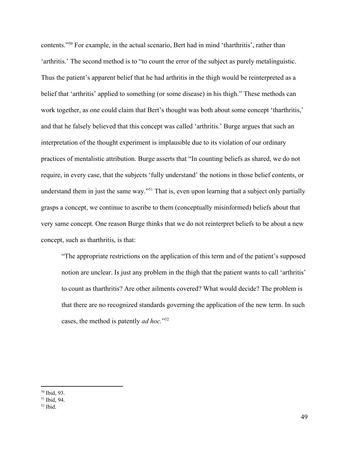contents."<sup>50</sup> For example, in the actual scenario, Bert had in mind 'tharthritis', rather than 'arthritis.' The second method is to "to count the error of the subject as purely metalinguistic. Thus the patient's apparent belief that he had arthritis in the thigh would be reinterpreted as a belief that 'arthritis' applied to something (or some disease) in his thigh." These methods can work together, as one could claim that Bert's thought was both about some concept 'tharthritis,' and that he falsely believed that this concept was called 'arthritis.' Burge argues that such an interpretation of the thought experiment is implausible due to its violation of our ordinary practices of mentalistic attribution. Burge asserts that "In counting beliefs as shared, we do not require, in every case, that the subjects 'fully understand' the notions in those belief contents, or understand them in just the same way."<sup>51</sup> That is, even upon learning that a subject only partially grasps a concept, we continue to ascribe to them (conceptually misinformed) beliefs about that very same concept. One reason Burge thinks that we do not reinterpret beliefs to be about a new concept, such as tharthritis, is that:

"The appropriate restrictions on the application of this term and of the patient's supposed notion are unclear. Is just any problem in the thigh that the patient wants to call 'arthritis' to count as tharthritis? Are other ailments covered? What would decide? The problem is that there are no recognized standards governing the application of the new term. In such cases, the method is patently *ad hoc.*" 52

<sup>50</sup> Ibid, 93.

<sup>51</sup> Ibid, 94.

 $52$  Ibid.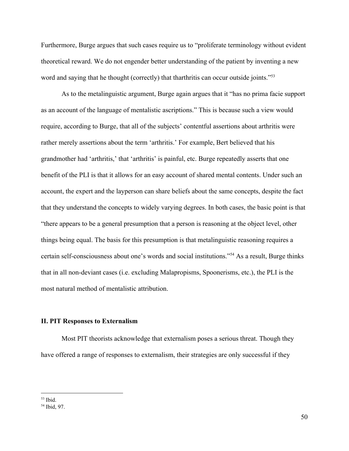Furthermore, Burge argues that such cases require us to "proliferate terminology without evident theoretical reward. We do not engender better understanding of the patient by inventing a new word and saying that he thought (correctly) that tharthritis can occur outside joints."<sup>53</sup>

As to the metalinguistic argument, Burge again argues that it "has no prima facie support as an account of the language of mentalistic ascriptions." This is because such a view would require, according to Burge, that all of the subjects' contentful assertions about arthritis were rather merely assertions about the term 'arthritis.' For example, Bert believed that his grandmother had 'arthritis,' that 'arthritis' is painful, etc. Burge repeatedly asserts that one benefit of the PLI is that it allows for an easy account of shared mental contents. Under such an account, the expert and the layperson can share beliefs about the same concepts, despite the fact that they understand the concepts to widely varying degrees. In both cases, the basic point is that "there appears to be a general presumption that a person is reasoning at the object level, other things being equal. The basis for this presumption is that metalinguistic reasoning requires a certain self-consciousness about one's words and social institutions."<sup>54</sup> As a result, Burge thinks that in all non-deviant cases (i.e. excluding Malapropisms, Spoonerisms, etc.), the PLI is the most natural method of mentalistic attribution.

# **II. PIT Responses to Externalism**

Most PIT theorists acknowledge that externalism poses a serious threat. Though they have offered a range of responses to externalism, their strategies are only successful if they

 $53$  Ibid.

<sup>54</sup> Ibid, 97.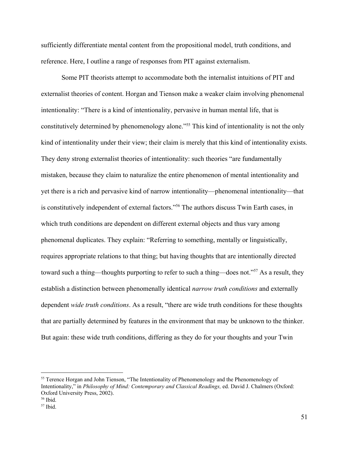sufficiently differentiate mental content from the propositional model, truth conditions, and reference. Here, I outline a range of responses from PIT against externalism.

Some PIT theorists attempt to accommodate both the internalist intuitions of PIT and externalist theories of content. Horgan and Tienson make a weaker claim involving phenomenal intentionality: "There is a kind of intentionality, pervasive in human mental life, that is constitutively determined by phenomenology alone."<sup>55</sup> This kind of intentionality is not the only kind of intentionality under their view; their claim is merely that this kind of intentionality exists. They deny strong externalist theories of intentionality: such theories "are fundamentally mistaken, because they claim to naturalize the entire phenomenon of mental intentionality and yet there is a rich and pervasive kind of narrow intentionality—phenomenal intentionality—that is constitutively independent of external factors."<sup>56</sup> The authors discuss Twin Earth cases, in which truth conditions are dependent on different external objects and thus vary among phenomenal duplicates. They explain: "Referring to something, mentally or linguistically, requires appropriate relations to that thing; but having thoughts that are intentionally directed toward such a thing—thoughts purporting to refer to such a thing—does not."<sup>57</sup> As a result, they establish a distinction between phenomenally identical *narrow truth conditions* and externally dependent *wide truth conditions*. As a result, "there are wide truth conditions for these thoughts that are partially determined by features in the environment that may be unknown to the thinker. But again: these wide truth conditions, differing as they do for your thoughts and your Twin

<sup>&</sup>lt;sup>55</sup> Terence Horgan and John Tienson, "The Intentionality of Phenomenology and the Phenomenology of Intentionality," in *Philosophy of Mind: Contemporary and Classical Readings,* ed. David J. Chalmers (Oxford: Oxford University Press, 2002).

<sup>56</sup> Ibid.

 $57$  Ibid.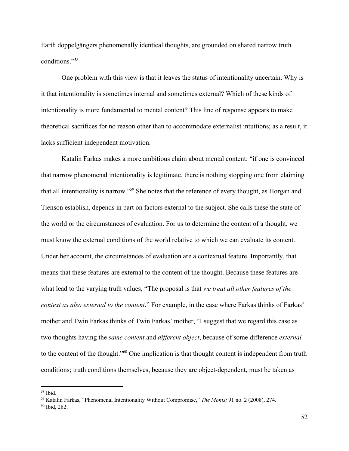Earth doppelgängers phenomenally identical thoughts, are grounded on shared narrow truth conditions."<sup>58</sup>

One problem with this view is that it leaves the status of intentionality uncertain. Why is it that intentionality is sometimes internal and sometimes external? Which of these kinds of intentionality is more fundamental to mental content? This line of response appears to make theoretical sacrifices for no reason other than to accommodate externalist intuitions; as a result, it lacks sufficient independent motivation.

Katalin Farkas makes a more ambitious claim about mental content: "if one is convinced that narrow phenomenal intentionality is legitimate, there is nothing stopping one from claiming that all intentionality is narrow."<sup>59</sup> She notes that the reference of every thought, as Horgan and Tienson establish, depends in part on factors external to the subject. She calls these the state of the world or the circumstances of evaluation. For us to determine the content of a thought, we must know the external conditions of the world relative to which we can evaluate its content. Under her account, the circumstances of evaluation are a contextual feature. Importantly, that means that these features are external to the content of the thought. Because these features are what lead to the varying truth values, "The proposal is that *we treat all other features of the context as also external to the content*." For example, in the case where Farkas thinks of Farkas' mother and Twin Farkas thinks of Twin Farkas' mother, "I suggest that we regard this case as two thoughts having the *same content* and *different object*, because of some difference *external* to the content of the thought."<sup>60</sup> One implication is that thought content is independent from truth conditions; truth conditions themselves, because they are object-dependent, must be taken as

<sup>58</sup> Ibid.

<sup>59</sup> Katalin Farkas, "Phenomenal Intentionality Without Compromise," *The Monist* 91 no. 2 (2008), 274.

<sup>60</sup> Ibid, 282.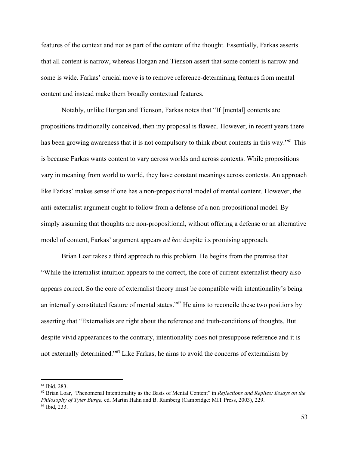features of the context and not as part of the content of the thought. Essentially, Farkas asserts that all content is narrow, whereas Horgan and Tienson assert that some content is narrow and some is wide. Farkas' crucial move is to remove reference-determining features from mental content and instead make them broadly contextual features.

Notably, unlike Horgan and Tienson, Farkas notes that "If [mental] contents are propositions traditionally conceived, then my proposal is flawed. However, in recent years there has been growing awareness that it is not compulsory to think about contents in this way."<sup>61</sup> This is because Farkas wants content to vary across worlds and across contexts. While propositions vary in meaning from world to world, they have constant meanings across contexts. An approach like Farkas' makes sense if one has a non-propositional model of mental content. However, the anti-externalist argument ought to follow from a defense of a non-propositional model. By simply assuming that thoughts are non-propositional, without offering a defense or an alternative model of content, Farkas' argument appears *ad hoc* despite its promising approach.

Brian Loar takes a third approach to this problem. He begins from the premise that "While the internalist intuition appears to me correct, the core of current externalist theory also appears correct. So the core of externalist theory must be compatible with intentionality's being an internally constituted feature of mental states." $62$  He aims to reconcile these two positions by asserting that "Externalists are right about the reference and truth-conditions of thoughts. But despite vivid appearances to the contrary, intentionality does not presuppose reference and it is not externally determined."<sup>63</sup> Like Farkas, he aims to avoid the concerns of externalism by

<sup>61</sup> Ibid, 283.

<sup>62</sup> Brian Loar, "Phenomenal Intentionality as the Basis of Mental Content" in *Reflections and Replies: Essays on the Philosophy of Tyler Burge,* ed. Martin Hahn and B. Ramberg (Cambridge: MIT Press, 2003), 229. <sup>63</sup> Ibid, 233.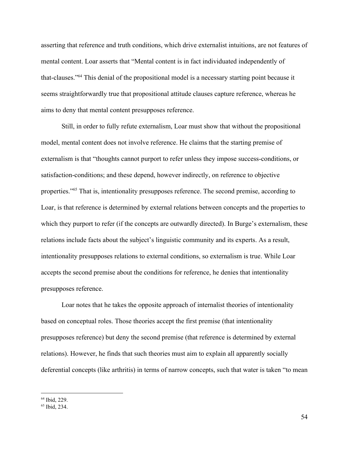asserting that reference and truth conditions, which drive externalist intuitions, are not features of mental content. Loar asserts that "Mental content is in fact individuated independently of that-clauses."<sup>64</sup> This denial of the propositional model is a necessary starting point because it seems straightforwardly true that propositional attitude clauses capture reference, whereas he aims to deny that mental content presupposes reference.

Still, in order to fully refute externalism, Loar must show that without the propositional model, mental content does not involve reference. He claims that the starting premise of externalism is that "thoughts cannot purport to refer unless they impose success-conditions, or satisfaction-conditions; and these depend, however indirectly, on reference to objective properties."<sup>65</sup> That is, intentionality presupposes reference. The second premise, according to Loar, is that reference is determined by external relations between concepts and the properties to which they purport to refer (if the concepts are outwardly directed). In Burge's externalism, these relations include facts about the subject's linguistic community and its experts. As a result, intentionality presupposes relations to external conditions, so externalism is true. While Loar accepts the second premise about the conditions for reference, he denies that intentionality presupposes reference.

Loar notes that he takes the opposite approach of internalist theories of intentionality based on conceptual roles. Those theories accept the first premise (that intentionality presupposes reference) but deny the second premise (that reference is determined by external relations). However, he finds that such theories must aim to explain all apparently socially deferential concepts (like arthritis) in terms of narrow concepts, such that water is taken "to mean

<sup>64</sup> Ibid, 229.

<sup>65</sup> Ibid, 234.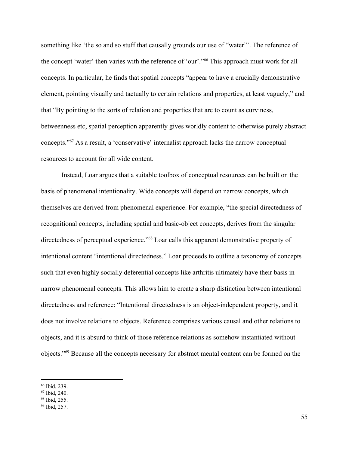something like 'the so and so stuff that causally grounds our use of "water"'. The reference of the concept 'water' then varies with the reference of 'our'."<sup>66</sup> This approach must work for all concepts. In particular, he finds that spatial concepts "appear to have a crucially demonstrative element, pointing visually and tactually to certain relations and properties, at least vaguely," and that "By pointing to the sorts of relation and properties that are to count as curviness, betweenness etc, spatial perception apparently gives worldly content to otherwise purely abstract concepts."<sup>67</sup> As a result, a 'conservative' internalist approach lacks the narrow conceptual resources to account for all wide content.

Instead, Loar argues that a suitable toolbox of conceptual resources can be built on the basis of phenomenal intentionality. Wide concepts will depend on narrow concepts, which themselves are derived from phenomenal experience. For example, "the special directedness of recognitional concepts, including spatial and basic-object concepts, derives from the singular directedness of perceptual experience."<sup>68</sup> Loar calls this apparent demonstrative property of intentional content "intentional directedness." Loar proceeds to outline a taxonomy of concepts such that even highly socially deferential concepts like arthritis ultimately have their basis in narrow phenomenal concepts. This allows him to create a sharp distinction between intentional directedness and reference: "Intentional directedness is an object-independent property, and it does not involve relations to objects. Reference comprises various causal and other relations to objects, and it is absurd to think of those reference relations as somehow instantiated without objects."<sup>69</sup> Because all the concepts necessary for abstract mental content can be formed on the

<sup>66</sup> Ibid, 239.

<sup>67</sup> Ibid, 240.

<sup>68</sup> Ibid, 255.

<sup>69</sup> Ibid, 257.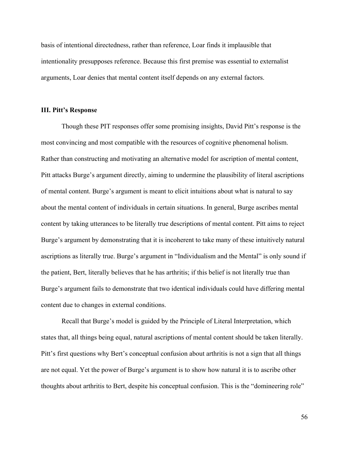basis of intentional directedness, rather than reference, Loar finds it implausible that intentionality presupposes reference. Because this first premise was essential to externalist arguments, Loar denies that mental content itself depends on any external factors.

## **III. Pitt's Response**

Though these PIT responses offer some promising insights, David Pitt's response is the most convincing and most compatible with the resources of cognitive phenomenal holism. Rather than constructing and motivating an alternative model for ascription of mental content, Pitt attacks Burge's argument directly, aiming to undermine the plausibility of literal ascriptions of mental content. Burge's argument is meant to elicit intuitions about what is natural to say about the mental content of individuals in certain situations. In general, Burge ascribes mental content by taking utterances to be literally true descriptions of mental content. Pitt aims to reject Burge's argument by demonstrating that it is incoherent to take many of these intuitively natural ascriptions as literally true. Burge's argument in "Individualism and the Mental" is only sound if the patient, Bert, literally believes that he has arthritis; if this belief is not literally true than Burge's argument fails to demonstrate that two identical individuals could have differing mental content due to changes in external conditions.

Recall that Burge's model is guided by the Principle of Literal Interpretation, which states that, all things being equal, natural ascriptions of mental content should be taken literally. Pitt's first questions why Bert's conceptual confusion about arthritis is not a sign that all things are not equal. Yet the power of Burge's argument is to show how natural it is to ascribe other thoughts about arthritis to Bert, despite his conceptual confusion. This is the "domineering role"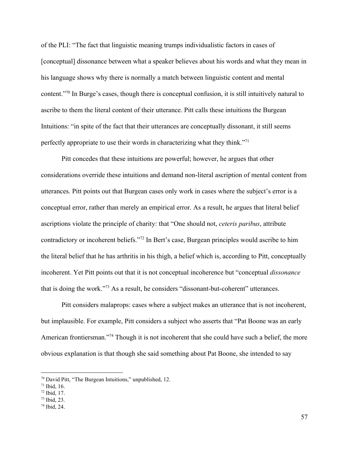of the PLI: "The fact that linguistic meaning trumps individualistic factors in cases of [conceptual] dissonance between what a speaker believes about his words and what they mean in his language shows why there is normally a match between linguistic content and mental content."<sup>70</sup> In Burge's cases, though there is conceptual confusion, it is still intuitively natural to ascribe to them the literal content of their utterance. Pitt calls these intuitions the Burgean Intuitions: "in spite of the fact that their utterances are conceptually dissonant, it still seems perfectly appropriate to use their words in characterizing what they think."<sup>71</sup>

Pitt concedes that these intuitions are powerful; however, he argues that other considerations override these intuitions and demand non-literal ascription of mental content from utterances. Pitt points out that Burgean cases only work in cases where the subject's error is a conceptual error, rather than merely an empirical error. As a result, he argues that literal belief ascriptions violate the principle of charity: that "One should not, *ceteris paribus*, attribute contradictory or incoherent beliefs."<sup>72</sup> In Bert's case, Burgean principles would ascribe to him the literal belief that he has arthritis in his thigh, a belief which is, according to Pitt, conceptually incoherent. Yet Pitt points out that it is not conceptual incoherence but "conceptual *dissonance* that is doing the work."<sup> $73$ </sup> As a result, he considers "dissonant-but-coherent" utterances.

Pitt considers malaprops: cases where a subject makes an utterance that is not incoherent, but implausible. For example, Pitt considers a subject who asserts that "Pat Boone was an early American frontiersman."<sup>74</sup> Though it is not incoherent that she could have such a belief, the more obvious explanation is that though she said something about Pat Boone, she intended to say

<sup>70</sup> David Pitt, "The Burgean Intuitions," unpublished, 12.

 $71$  Ibid, 16.

 $72$  Ibid, 17.

<sup>73</sup> Ibid, 23.

<sup>74</sup> Ibid, 24.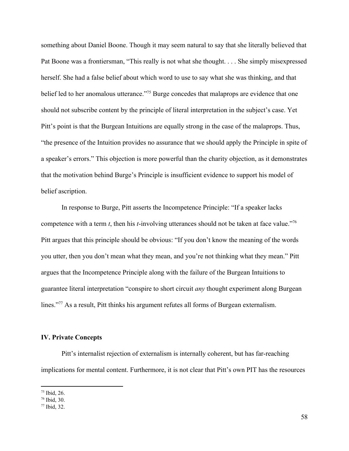something about Daniel Boone. Though it may seem natural to say that she literally believed that Pat Boone was a frontiersman, "This really is not what she thought. . . . She simply misexpressed herself. She had a false belief about which word to use to say what she was thinking, and that belief led to her anomalous utterance."<sup>75</sup> Burge concedes that malaprops are evidence that one should not subscribe content by the principle of literal interpretation in the subject's case. Yet Pitt's point is that the Burgean Intuitions are equally strong in the case of the malaprops. Thus, "the presence of the Intuition provides no assurance that we should apply the Principle in spite of a speaker's errors." This objection is more powerful than the charity objection, as it demonstrates that the motivation behind Burge's Principle is insufficient evidence to support his model of belief ascription.

In response to Burge, Pitt asserts the Incompetence Principle: "If a speaker lacks competence with a term *t*, then his *t*-involving utterances should not be taken at face value."<sup>76</sup> Pitt argues that this principle should be obvious: "If you don't know the meaning of the words you utter, then you don't mean what they mean, and you're not thinking what they mean." Pitt argues that the Incompetence Principle along with the failure of the Burgean Intuitions to guarantee literal interpretation "conspire to short circuit *any* thought experiment along Burgean lines."<sup>77</sup> As a result, Pitt thinks his argument refutes all forms of Burgean externalism.

## **IV. Private Concepts**

Pitt's internalist rejection of externalism is internally coherent, but has far-reaching implications for mental content. Furthermore, it is not clear that Pitt's own PIT has the resources

<sup>75</sup> Ibid, 26.

<sup>76</sup> Ibid, 30.

<sup>77</sup> Ibid, 32.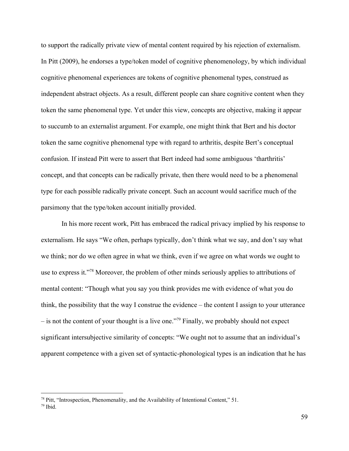to support the radically private view of mental content required by his rejection of externalism. In Pitt (2009), he endorses a type/token model of cognitive phenomenology, by which individual cognitive phenomenal experiences are tokens of cognitive phenomenal types, construed as independent abstract objects. As a result, different people can share cognitive content when they token the same phenomenal type. Yet under this view, concepts are objective, making it appear to succumb to an externalist argument. For example, one might think that Bert and his doctor token the same cognitive phenomenal type with regard to arthritis, despite Bert's conceptual confusion. If instead Pitt were to assert that Bert indeed had some ambiguous 'tharthritis' concept, and that concepts can be radically private, then there would need to be a phenomenal type for each possible radically private concept. Such an account would sacrifice much of the parsimony that the type/token account initially provided.

In his more recent work, Pitt has embraced the radical privacy implied by his response to externalism. He says "We often, perhaps typically, don't think what we say, and don't say what we think; nor do we often agree in what we think, even if we agree on what words we ought to use to express it."<sup>78</sup> Moreover, the problem of other minds seriously applies to attributions of mental content: "Though what you say you think provides me with evidence of what you do think, the possibility that the way I construe the evidence – the content I assign to your utterance  $-$  is not the content of your thought is a live one."<sup>79</sup> Finally, we probably should not expect significant intersubjective similarity of concepts: "We ought not to assume that an individual's apparent competence with a given set of syntactic-phonological types is an indication that he has

<sup>78</sup> Pitt, "Introspection, Phenomenality, and the Availability of Intentional Content," 51.

 $79$  Ibid.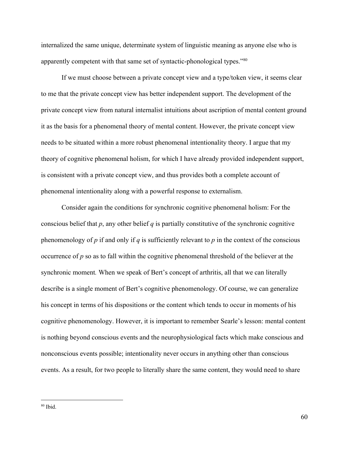internalized the same unique, determinate system of linguistic meaning as anyone else who is apparently competent with that same set of syntactic-phonological types."<sup>80</sup>

If we must choose between a private concept view and a type/token view, it seems clear to me that the private concept view has better independent support. The development of the private concept view from natural internalist intuitions about ascription of mental content ground it as the basis for a phenomenal theory of mental content. However, the private concept view needs to be situated within a more robust phenomenal intentionality theory. I argue that my theory of cognitive phenomenal holism, for which I have already provided independent support, is consistent with a private concept view, and thus provides both a complete account of phenomenal intentionality along with a powerful response to externalism.

Consider again the conditions for synchronic cognitive phenomenal holism: For the conscious belief that *p*, any other belief *q* is partially constitutive of the synchronic cognitive phenomenology of  $p$  if and only if  $q$  is sufficiently relevant to  $p$  in the context of the conscious occurrence of *p* so as to fall within the cognitive phenomenal threshold of the believer at the synchronic moment*.* When we speak of Bert's concept of arthritis, all that we can literally describe is a single moment of Bert's cognitive phenomenology. Of course, we can generalize his concept in terms of his dispositions or the content which tends to occur in moments of his cognitive phenomenology. However, it is important to remember Searle's lesson: mental content is nothing beyond conscious events and the neurophysiological facts which make conscious and nonconscious events possible; intentionality never occurs in anything other than conscious events. As a result, for two people to literally share the same content, they would need to share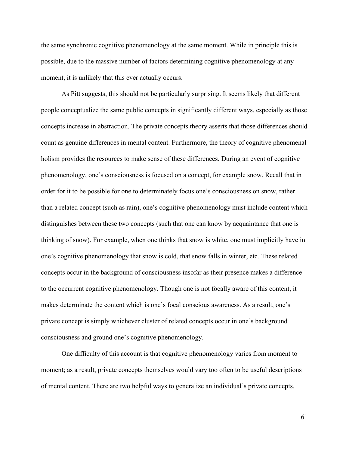the same synchronic cognitive phenomenology at the same moment. While in principle this is possible, due to the massive number of factors determining cognitive phenomenology at any moment, it is unlikely that this ever actually occurs.

As Pitt suggests, this should not be particularly surprising. It seems likely that different people conceptualize the same public concepts in significantly different ways, especially as those concepts increase in abstraction. The private concepts theory asserts that those differences should count as genuine differences in mental content. Furthermore, the theory of cognitive phenomenal holism provides the resources to make sense of these differences. During an event of cognitive phenomenology, one's consciousness is focused on a concept, for example snow. Recall that in order for it to be possible for one to determinately focus one's consciousness on snow, rather than a related concept (such as rain), one's cognitive phenomenology must include content which distinguishes between these two concepts (such that one can know by acquaintance that one is thinking of snow). For example, when one thinks that snow is white, one must implicitly have in one's cognitive phenomenology that snow is cold, that snow falls in winter, etc. These related concepts occur in the background of consciousness insofar as their presence makes a difference to the occurrent cognitive phenomenology. Though one is not focally aware of this content, it makes determinate the content which is one's focal conscious awareness. As a result, one's private concept is simply whichever cluster of related concepts occur in one's background consciousness and ground one's cognitive phenomenology.

One difficulty of this account is that cognitive phenomenology varies from moment to moment; as a result, private concepts themselves would vary too often to be useful descriptions of mental content. There are two helpful ways to generalize an individual's private concepts.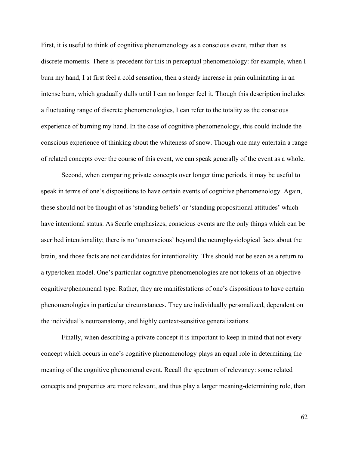First, it is useful to think of cognitive phenomenology as a conscious event, rather than as discrete moments. There is precedent for this in perceptual phenomenology: for example, when I burn my hand, I at first feel a cold sensation, then a steady increase in pain culminating in an intense burn, which gradually dulls until I can no longer feel it. Though this description includes a fluctuating range of discrete phenomenologies, I can refer to the totality as the conscious experience of burning my hand. In the case of cognitive phenomenology, this could include the conscious experience of thinking about the whiteness of snow. Though one may entertain a range of related concepts over the course of this event, we can speak generally of the event as a whole.

Second, when comparing private concepts over longer time periods, it may be useful to speak in terms of one's dispositions to have certain events of cognitive phenomenology. Again, these should not be thought of as 'standing beliefs' or 'standing propositional attitudes' which have intentional status. As Searle emphasizes, conscious events are the only things which can be ascribed intentionality; there is no 'unconscious' beyond the neurophysiological facts about the brain, and those facts are not candidates for intentionality. This should not be seen as a return to a type/token model. One's particular cognitive phenomenologies are not tokens of an objective cognitive/phenomenal type. Rather, they are manifestations of one's dispositions to have certain phenomenologies in particular circumstances. They are individually personalized, dependent on the individual's neuroanatomy, and highly context-sensitive generalizations.

Finally, when describing a private concept it is important to keep in mind that not every concept which occurs in one's cognitive phenomenology plays an equal role in determining the meaning of the cognitive phenomenal event. Recall the spectrum of relevancy: some related concepts and properties are more relevant, and thus play a larger meaning-determining role, than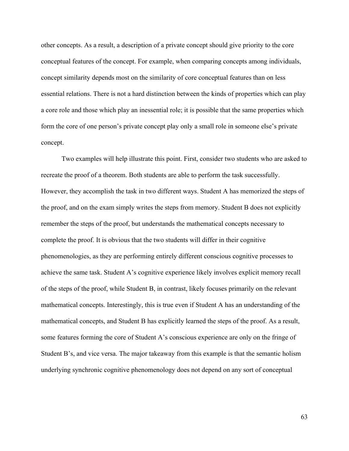other concepts. As a result, a description of a private concept should give priority to the core conceptual features of the concept. For example, when comparing concepts among individuals, concept similarity depends most on the similarity of core conceptual features than on less essential relations. There is not a hard distinction between the kinds of properties which can play a core role and those which play an inessential role; it is possible that the same properties which form the core of one person's private concept play only a small role in someone else's private concept.

Two examples will help illustrate this point. First, consider two students who are asked to recreate the proof of a theorem. Both students are able to perform the task successfully. However, they accomplish the task in two different ways. Student A has memorized the steps of the proof, and on the exam simply writes the steps from memory. Student B does not explicitly remember the steps of the proof, but understands the mathematical concepts necessary to complete the proof. It is obvious that the two students will differ in their cognitive phenomenologies, as they are performing entirely different conscious cognitive processes to achieve the same task. Student A's cognitive experience likely involves explicit memory recall of the steps of the proof, while Student B, in contrast, likely focuses primarily on the relevant mathematical concepts. Interestingly, this is true even if Student A has an understanding of the mathematical concepts, and Student B has explicitly learned the steps of the proof. As a result, some features forming the core of Student A's conscious experience are only on the fringe of Student B's, and vice versa. The major takeaway from this example is that the semantic holism underlying synchronic cognitive phenomenology does not depend on any sort of conceptual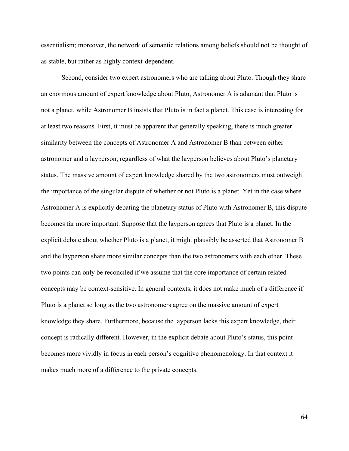essentialism; moreover, the network of semantic relations among beliefs should not be thought of as stable, but rather as highly context-dependent.

Second, consider two expert astronomers who are talking about Pluto. Though they share an enormous amount of expert knowledge about Pluto, Astronomer A is adamant that Pluto is not a planet, while Astronomer B insists that Pluto is in fact a planet. This case is interesting for at least two reasons. First, it must be apparent that generally speaking, there is much greater similarity between the concepts of Astronomer A and Astronomer B than between either astronomer and a layperson, regardless of what the layperson believes about Pluto's planetary status. The massive amount of expert knowledge shared by the two astronomers must outweigh the importance of the singular dispute of whether or not Pluto is a planet. Yet in the case where Astronomer A is explicitly debating the planetary status of Pluto with Astronomer B, this dispute becomes far more important. Suppose that the layperson agrees that Pluto is a planet. In the explicit debate about whether Pluto is a planet, it might plausibly be asserted that Astronomer B and the layperson share more similar concepts than the two astronomers with each other. These two points can only be reconciled if we assume that the core importance of certain related concepts may be context-sensitive. In general contexts, it does not make much of a difference if Pluto is a planet so long as the two astronomers agree on the massive amount of expert knowledge they share. Furthermore, because the layperson lacks this expert knowledge, their concept is radically different. However, in the explicit debate about Pluto's status, this point becomes more vividly in focus in each person's cognitive phenomenology. In that context it makes much more of a difference to the private concepts.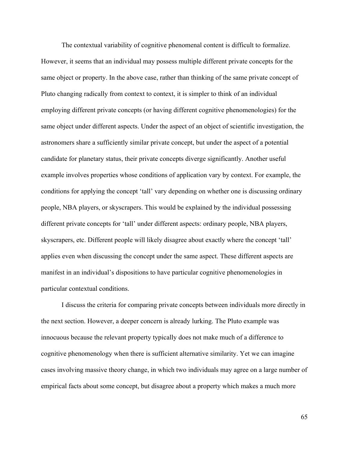The contextual variability of cognitive phenomenal content is difficult to formalize. However, it seems that an individual may possess multiple different private concepts for the same object or property. In the above case, rather than thinking of the same private concept of Pluto changing radically from context to context, it is simpler to think of an individual employing different private concepts (or having different cognitive phenomenologies) for the same object under different aspects. Under the aspect of an object of scientific investigation, the astronomers share a sufficiently similar private concept, but under the aspect of a potential candidate for planetary status, their private concepts diverge significantly. Another useful example involves properties whose conditions of application vary by context. For example, the conditions for applying the concept 'tall' vary depending on whether one is discussing ordinary people, NBA players, or skyscrapers. This would be explained by the individual possessing different private concepts for 'tall' under different aspects: ordinary people, NBA players, skyscrapers, etc. Different people will likely disagree about exactly where the concept 'tall' applies even when discussing the concept under the same aspect. These different aspects are manifest in an individual's dispositions to have particular cognitive phenomenologies in particular contextual conditions.

I discuss the criteria for comparing private concepts between individuals more directly in the next section. However, a deeper concern is already lurking. The Pluto example was innocuous because the relevant property typically does not make much of a difference to cognitive phenomenology when there is sufficient alternative similarity. Yet we can imagine cases involving massive theory change, in which two individuals may agree on a large number of empirical facts about some concept, but disagree about a property which makes a much more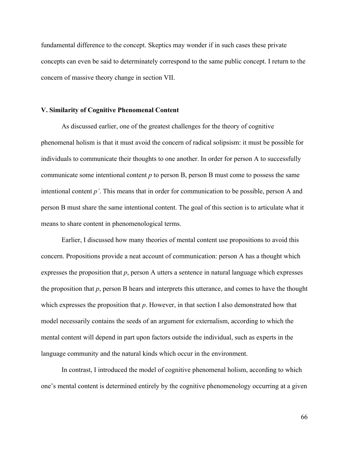fundamental difference to the concept. Skeptics may wonder if in such cases these private concepts can even be said to determinately correspond to the same public concept. I return to the concern of massive theory change in section VII.

## **V. Similarity of Cognitive Phenomenal Content**

As discussed earlier, one of the greatest challenges for the theory of cognitive phenomenal holism is that it must avoid the concern of radical solipsism: it must be possible for individuals to communicate their thoughts to one another. In order for person A to successfully communicate some intentional content *p* to person B, person B must come to possess the same intentional content *p'*. This means that in order for communication to be possible, person A and person B must share the same intentional content. The goal of this section is to articulate what it means to share content in phenomenological terms.

Earlier, I discussed how many theories of mental content use propositions to avoid this concern. Propositions provide a neat account of communication: person A has a thought which expresses the proposition that *p*, person A utters a sentence in natural language which expresses the proposition that *p*, person B hears and interprets this utterance, and comes to have the thought which expresses the proposition that *p*. However, in that section I also demonstrated how that model necessarily contains the seeds of an argument for externalism, according to which the mental content will depend in part upon factors outside the individual, such as experts in the language community and the natural kinds which occur in the environment.

In contrast, I introduced the model of cognitive phenomenal holism, according to which one's mental content is determined entirely by the cognitive phenomenology occurring at a given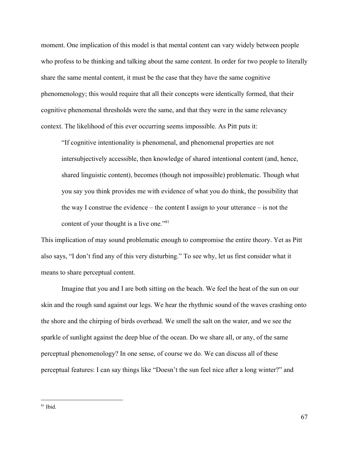moment. One implication of this model is that mental content can vary widely between people who profess to be thinking and talking about the same content. In order for two people to literally share the same mental content, it must be the case that they have the same cognitive phenomenology; this would require that all their concepts were identically formed, that their cognitive phenomenal thresholds were the same, and that they were in the same relevancy context. The likelihood of this ever occurring seems impossible. As Pitt puts it:

"If cognitive intentionality is phenomenal, and phenomenal properties are not intersubjectively accessible, then knowledge of shared intentional content (and, hence, shared linguistic content), becomes (though not impossible) problematic. Though what you say you think provides me with evidence of what you do think, the possibility that the way I construe the evidence – the content I assign to your utterance – is not the content of your thought is a live one."<sup>81</sup>

This implication of may sound problematic enough to compromise the entire theory. Yet as Pitt also says, "I don't find any of this very disturbing." To see why, let us first consider what it means to share perceptual content.

Imagine that you and I are both sitting on the beach. We feel the heat of the sun on our skin and the rough sand against our legs. We hear the rhythmic sound of the waves crashing onto the shore and the chirping of birds overhead. We smell the salt on the water, and we see the sparkle of sunlight against the deep blue of the ocean. Do we share all, or any, of the same perceptual phenomenology? In one sense, of course we do. We can discuss all of these perceptual features: I can say things like "Doesn't the sun feel nice after a long winter?" and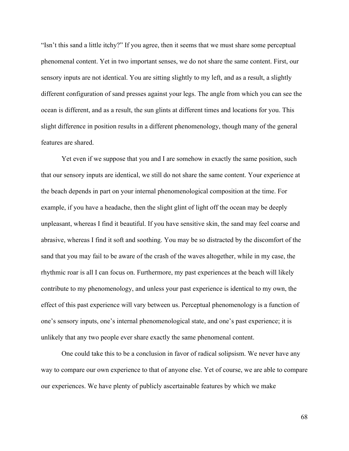"Isn't this sand a little itchy?" If you agree, then it seems that we must share some perceptual phenomenal content. Yet in two important senses, we do not share the same content. First, our sensory inputs are not identical. You are sitting slightly to my left, and as a result, a slightly different configuration of sand presses against your legs. The angle from which you can see the ocean is different, and as a result, the sun glints at different times and locations for you. This slight difference in position results in a different phenomenology, though many of the general features are shared.

Yet even if we suppose that you and I are somehow in exactly the same position, such that our sensory inputs are identical, we still do not share the same content. Your experience at the beach depends in part on your internal phenomenological composition at the time. For example, if you have a headache, then the slight glint of light off the ocean may be deeply unpleasant, whereas I find it beautiful. If you have sensitive skin, the sand may feel coarse and abrasive, whereas I find it soft and soothing. You may be so distracted by the discomfort of the sand that you may fail to be aware of the crash of the waves altogether, while in my case, the rhythmic roar is all I can focus on. Furthermore, my past experiences at the beach will likely contribute to my phenomenology, and unless your past experience is identical to my own, the effect of this past experience will vary between us. Perceptual phenomenology is a function of one's sensory inputs, one's internal phenomenological state, and one's past experience; it is unlikely that any two people ever share exactly the same phenomenal content.

One could take this to be a conclusion in favor of radical solipsism. We never have any way to compare our own experience to that of anyone else. Yet of course, we are able to compare our experiences. We have plenty of publicly ascertainable features by which we make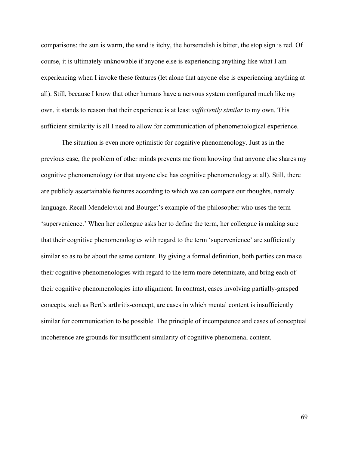comparisons: the sun is warm, the sand is itchy, the horseradish is bitter, the stop sign is red. Of course, it is ultimately unknowable if anyone else is experiencing anything like what I am experiencing when I invoke these features (let alone that anyone else is experiencing anything at all). Still, because I know that other humans have a nervous system configured much like my own, it stands to reason that their experience is at least *sufficiently similar* to my own. This sufficient similarity is all I need to allow for communication of phenomenological experience.

The situation is even more optimistic for cognitive phenomenology. Just as in the previous case, the problem of other minds prevents me from knowing that anyone else shares my cognitive phenomenology (or that anyone else has cognitive phenomenology at all). Still, there are publicly ascertainable features according to which we can compare our thoughts, namely language. Recall Mendelovici and Bourget's example of the philosopher who uses the term 'supervenience.' When her colleague asks her to define the term, her colleague is making sure that their cognitive phenomenologies with regard to the term 'supervenience' are sufficiently similar so as to be about the same content. By giving a formal definition, both parties can make their cognitive phenomenologies with regard to the term more determinate, and bring each of their cognitive phenomenologies into alignment. In contrast, cases involving partially-grasped concepts, such as Bert's arthritis-concept, are cases in which mental content is insufficiently similar for communication to be possible. The principle of incompetence and cases of conceptual incoherence are grounds for insufficient similarity of cognitive phenomenal content.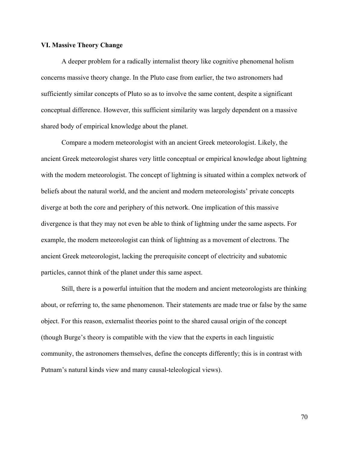### **VI. Massive Theory Change**

A deeper problem for a radically internalist theory like cognitive phenomenal holism concerns massive theory change. In the Pluto case from earlier, the two astronomers had sufficiently similar concepts of Pluto so as to involve the same content, despite a significant conceptual difference. However, this sufficient similarity was largely dependent on a massive shared body of empirical knowledge about the planet.

Compare a modern meteorologist with an ancient Greek meteorologist. Likely, the ancient Greek meteorologist shares very little conceptual or empirical knowledge about lightning with the modern meteorologist. The concept of lightning is situated within a complex network of beliefs about the natural world, and the ancient and modern meteorologists' private concepts diverge at both the core and periphery of this network. One implication of this massive divergence is that they may not even be able to think of lightning under the same aspects. For example, the modern meteorologist can think of lightning as a movement of electrons. The ancient Greek meteorologist, lacking the prerequisite concept of electricity and subatomic particles, cannot think of the planet under this same aspect.

Still, there is a powerful intuition that the modern and ancient meteorologists are thinking about, or referring to, the same phenomenon. Their statements are made true or false by the same object. For this reason, externalist theories point to the shared causal origin of the concept (though Burge's theory is compatible with the view that the experts in each linguistic community, the astronomers themselves, define the concepts differently; this is in contrast with Putnam's natural kinds view and many causal-teleological views).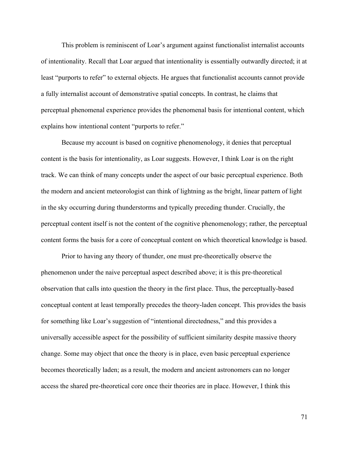This problem is reminiscent of Loar's argument against functionalist internalist accounts of intentionality. Recall that Loar argued that intentionality is essentially outwardly directed; it at least "purports to refer" to external objects. He argues that functionalist accounts cannot provide a fully internalist account of demonstrative spatial concepts. In contrast, he claims that perceptual phenomenal experience provides the phenomenal basis for intentional content, which explains how intentional content "purports to refer."

Because my account is based on cognitive phenomenology, it denies that perceptual content is the basis for intentionality, as Loar suggests. However, I think Loar is on the right track. We can think of many concepts under the aspect of our basic perceptual experience. Both the modern and ancient meteorologist can think of lightning as the bright, linear pattern of light in the sky occurring during thunderstorms and typically preceding thunder. Crucially, the perceptual content itself is not the content of the cognitive phenomenology; rather, the perceptual content forms the basis for a core of conceptual content on which theoretical knowledge is based.

Prior to having any theory of thunder, one must pre-theoretically observe the phenomenon under the naive perceptual aspect described above; it is this pre-theoretical observation that calls into question the theory in the first place. Thus, the perceptually-based conceptual content at least temporally precedes the theory-laden concept. This provides the basis for something like Loar's suggestion of "intentional directedness," and this provides a universally accessible aspect for the possibility of sufficient similarity despite massive theory change. Some may object that once the theory is in place, even basic perceptual experience becomes theoretically laden; as a result, the modern and ancient astronomers can no longer access the shared pre-theoretical core once their theories are in place. However, I think this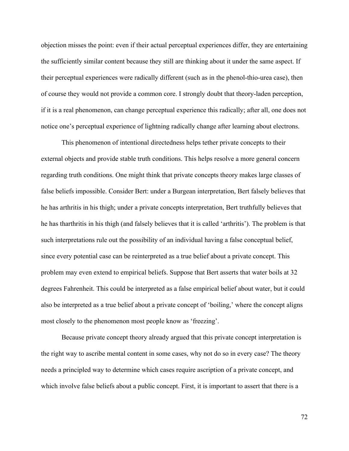objection misses the point: even if their actual perceptual experiences differ, they are entertaining the sufficiently similar content because they still are thinking about it under the same aspect. If their perceptual experiences were radically different (such as in the phenol-thio-urea case), then of course they would not provide a common core. I strongly doubt that theory-laden perception, if it is a real phenomenon, can change perceptual experience this radically; after all, one does not notice one's perceptual experience of lightning radically change after learning about electrons.

This phenomenon of intentional directedness helps tether private concepts to their external objects and provide stable truth conditions. This helps resolve a more general concern regarding truth conditions. One might think that private concepts theory makes large classes of false beliefs impossible. Consider Bert: under a Burgean interpretation, Bert falsely believes that he has arthritis in his thigh; under a private concepts interpretation, Bert truthfully believes that he has tharthritis in his thigh (and falsely believes that it is called 'arthritis'). The problem is that such interpretations rule out the possibility of an individual having a false conceptual belief, since every potential case can be reinterpreted as a true belief about a private concept. This problem may even extend to empirical beliefs. Suppose that Bert asserts that water boils at 32 degrees Fahrenheit. This could be interpreted as a false empirical belief about water, but it could also be interpreted as a true belief about a private concept of 'boiling,' where the concept aligns most closely to the phenomenon most people know as 'freezing'.

Because private concept theory already argued that this private concept interpretation is the right way to ascribe mental content in some cases, why not do so in every case? The theory needs a principled way to determine which cases require ascription of a private concept, and which involve false beliefs about a public concept. First, it is important to assert that there is a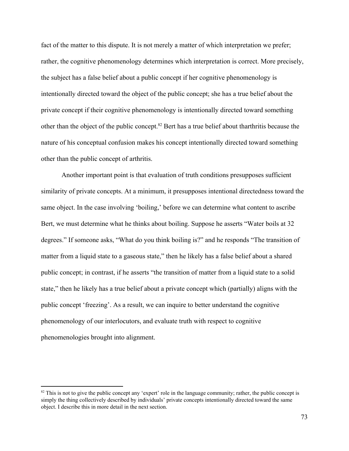fact of the matter to this dispute. It is not merely a matter of which interpretation we prefer; rather, the cognitive phenomenology determines which interpretation is correct. More precisely, the subject has a false belief about a public concept if her cognitive phenomenology is intentionally directed toward the object of the public concept; she has a true belief about the private concept if their cognitive phenomenology is intentionally directed toward something other than the object of the public concept.<sup>82</sup> Bert has a true belief about tharthritis because the nature of his conceptual confusion makes his concept intentionally directed toward something other than the public concept of arthritis.

Another important point is that evaluation of truth conditions presupposes sufficient similarity of private concepts. At a minimum, it presupposes intentional directedness toward the same object. In the case involving 'boiling,' before we can determine what content to ascribe Bert, we must determine what he thinks about boiling. Suppose he asserts "Water boils at 32 degrees." If someone asks, "What do you think boiling is?" and he responds "The transition of matter from a liquid state to a gaseous state," then he likely has a false belief about a shared public concept; in contrast, if he asserts "the transition of matter from a liquid state to a solid state," then he likely has a true belief about a private concept which (partially) aligns with the public concept 'freezing'. As a result, we can inquire to better understand the cognitive phenomenology of our interlocutors, and evaluate truth with respect to cognitive phenomenologies brought into alignment.

 $82$  This is not to give the public concept any 'expert' role in the language community; rather, the public concept is simply the thing collectively described by individuals' private concepts intentionally directed toward the same object. I describe this in more detail in the next section.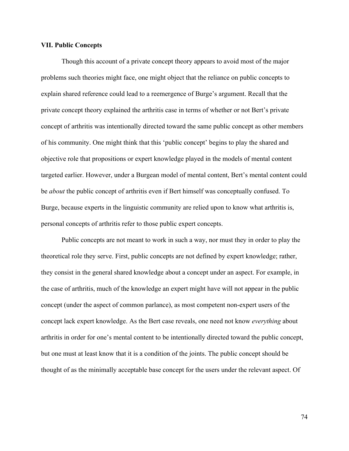## **VII. Public Concepts**

Though this account of a private concept theory appears to avoid most of the major problems such theories might face, one might object that the reliance on public concepts to explain shared reference could lead to a reemergence of Burge's argument. Recall that the private concept theory explained the arthritis case in terms of whether or not Bert's private concept of arthritis was intentionally directed toward the same public concept as other members of his community. One might think that this 'public concept' begins to play the shared and objective role that propositions or expert knowledge played in the models of mental content targeted earlier. However, under a Burgean model of mental content, Bert's mental content could be *about* the public concept of arthritis even if Bert himself was conceptually confused. To Burge, because experts in the linguistic community are relied upon to know what arthritis is, personal concepts of arthritis refer to those public expert concepts.

Public concepts are not meant to work in such a way, nor must they in order to play the theoretical role they serve. First, public concepts are not defined by expert knowledge; rather, they consist in the general shared knowledge about a concept under an aspect. For example, in the case of arthritis, much of the knowledge an expert might have will not appear in the public concept (under the aspect of common parlance), as most competent non-expert users of the concept lack expert knowledge. As the Bert case reveals, one need not know *everything* about arthritis in order for one's mental content to be intentionally directed toward the public concept, but one must at least know that it is a condition of the joints. The public concept should be thought of as the minimally acceptable base concept for the users under the relevant aspect. Of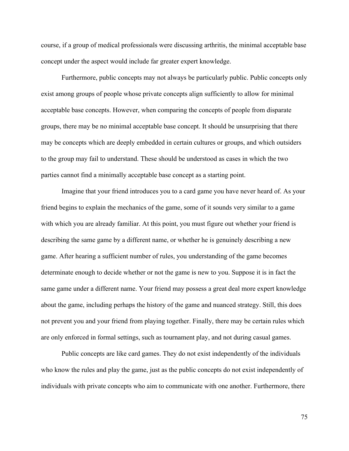course, if a group of medical professionals were discussing arthritis, the minimal acceptable base concept under the aspect would include far greater expert knowledge.

Furthermore, public concepts may not always be particularly public. Public concepts only exist among groups of people whose private concepts align sufficiently to allow for minimal acceptable base concepts. However, when comparing the concepts of people from disparate groups, there may be no minimal acceptable base concept. It should be unsurprising that there may be concepts which are deeply embedded in certain cultures or groups, and which outsiders to the group may fail to understand. These should be understood as cases in which the two parties cannot find a minimally acceptable base concept as a starting point.

Imagine that your friend introduces you to a card game you have never heard of. As your friend begins to explain the mechanics of the game, some of it sounds very similar to a game with which you are already familiar. At this point, you must figure out whether your friend is describing the same game by a different name, or whether he is genuinely describing a new game. After hearing a sufficient number of rules, you understanding of the game becomes determinate enough to decide whether or not the game is new to you. Suppose it is in fact the same game under a different name. Your friend may possess a great deal more expert knowledge about the game, including perhaps the history of the game and nuanced strategy. Still, this does not prevent you and your friend from playing together. Finally, there may be certain rules which are only enforced in formal settings, such as tournament play, and not during casual games.

Public concepts are like card games. They do not exist independently of the individuals who know the rules and play the game, just as the public concepts do not exist independently of individuals with private concepts who aim to communicate with one another. Furthermore, there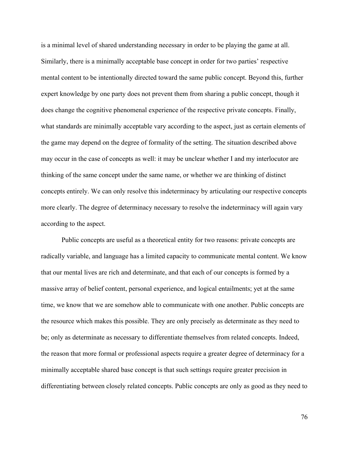is a minimal level of shared understanding necessary in order to be playing the game at all. Similarly, there is a minimally acceptable base concept in order for two parties' respective mental content to be intentionally directed toward the same public concept. Beyond this, further expert knowledge by one party does not prevent them from sharing a public concept, though it does change the cognitive phenomenal experience of the respective private concepts. Finally, what standards are minimally acceptable vary according to the aspect, just as certain elements of the game may depend on the degree of formality of the setting. The situation described above may occur in the case of concepts as well: it may be unclear whether I and my interlocutor are thinking of the same concept under the same name, or whether we are thinking of distinct concepts entirely. We can only resolve this indeterminacy by articulating our respective concepts more clearly. The degree of determinacy necessary to resolve the indeterminacy will again vary according to the aspect.

Public concepts are useful as a theoretical entity for two reasons: private concepts are radically variable, and language has a limited capacity to communicate mental content. We know that our mental lives are rich and determinate, and that each of our concepts is formed by a massive array of belief content, personal experience, and logical entailments; yet at the same time, we know that we are somehow able to communicate with one another. Public concepts are the resource which makes this possible. They are only precisely as determinate as they need to be; only as determinate as necessary to differentiate themselves from related concepts. Indeed, the reason that more formal or professional aspects require a greater degree of determinacy for a minimally acceptable shared base concept is that such settings require greater precision in differentiating between closely related concepts. Public concepts are only as good as they need to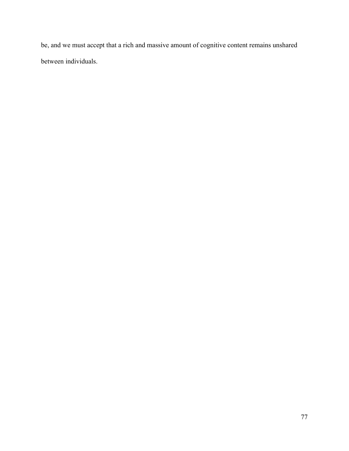be, and we must accept that a rich and massive amount of cognitive content remains unshared between individuals.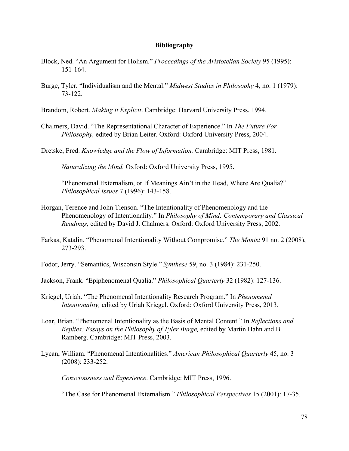## **Bibliography**

- Block, Ned. "An Argument for Holism." *Proceedings of the Aristotelian Society* 95 (1995): 151-164.
- Burge, Tyler. "Individualism and the Mental." *Midwest Studies in Philosophy* 4, no. 1 (1979): 73-122.

Brandom, Robert. *Making it Explicit*. Cambridge: Harvard University Press, 1994.

- Chalmers, David. "The Representational Character of Experience." In *The Future For Philosophy,* edited by Brian Leiter. Oxford: Oxford University Press, 2004.
- Dretske, Fred. *Knowledge and the Flow of Information.* Cambridge: MIT Press, 1981.

*Naturalizing the Mind.* Oxford: Oxford University Press, 1995.

"Phenomenal Externalism, or If Meanings Ain't in the Head, Where Are Qualia?" *Philosophical Issues* 7 (1996): 143-158.

- Horgan, Terence and John Tienson. "The Intentionality of Phenomenology and the Phenomenology of Intentionality." In *Philosophy of Mind: Contemporary and Classical Readings,* edited by David J. Chalmers. Oxford: Oxford University Press, 2002.
- Farkas, Katalin. "Phenomenal Intentionality Without Compromise." *The Monist* 91 no. 2 (2008), 273-293.
- Fodor, Jerry. "Semantics, Wisconsin Style." *Synthese* 59, no. 3 (1984): 231-250.
- Jackson, Frank. "Epiphenomenal Qualia." *Philosophical Quarterly* 32 (1982): 127-136.
- Kriegel, Uriah. "The Phenomenal Intentionality Research Program." In *Phenomenal Intentionality,* edited by Uriah Kriegel. Oxford: Oxford University Press, 2013.
- Loar, Brian. "Phenomenal Intentionality as the Basis of Mental Content." In *Reflections and Replies: Essays on the Philosophy of Tyler Burge,* edited by Martin Hahn and B. Ramberg. Cambridge: MIT Press, 2003.
- Lycan, William. "Phenomenal Intentionalities." *American Philosophical Quarterly* 45, no. 3 (2008): 233-252.

*Consciousness and Experience*. Cambridge: MIT Press, 1996.

"The Case for Phenomenal Externalism." *Philosophical Perspectives* 15 (2001): 17-35.